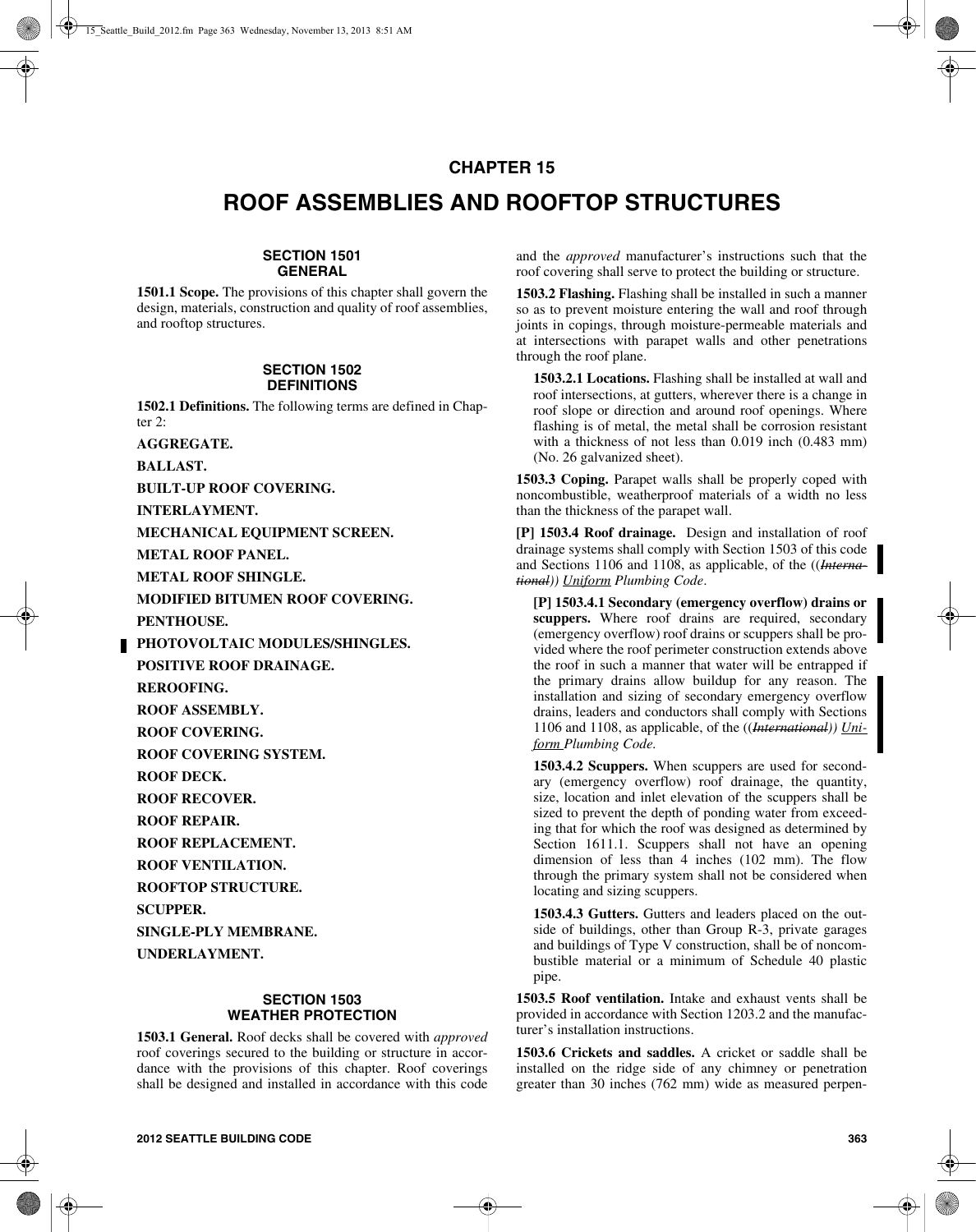## **CHAPTER 15**

# **ROOF ASSEMBLIES AND ROOFTOP STRUCTURES**

## **SECTION 1501 GENERAL**

**1501.1 Scope.** The provisions of this chapter shall govern the design, materials, construction and quality of roof assemblies, and rooftop structures.

#### **SECTION 1502 DEFINITIONS**

**1502.1 Definitions.** The following terms are defined in Chapter 2:

**AGGREGATE.** 

**BALLAST.**

**BUILT-UP ROOF COVERING.**

**INTERLAYMENT.**

**MECHANICAL EQUIPMENT SCREEN.**

**METAL ROOF PANEL.**

**METAL ROOF SHINGLE.**

**MODIFIED BITUMEN ROOF COVERING.**

**PENTHOUSE.**

**PHOTOVOLTAIC MODULES/SHINGLES.**

**POSITIVE ROOF DRAINAGE.**

**REROOFING.**

**ROOF ASSEMBLY.**

**ROOF COVERING.**

**ROOF COVERING SYSTEM.**

**ROOF DECK.**

**ROOF RECOVER.**

**ROOF REPAIR.**

**ROOF REPLACEMENT.**

**ROOF VENTILATION.**

**ROOFTOP STRUCTURE.**

**SCUPPER.**

**SINGLE-PLY MEMBRANE.**

**UNDERLAYMENT.**

## **SECTION 1503 WEATHER PROTECTION**

**1503.1 General.** Roof decks shall be covered with *approved* roof coverings secured to the building or structure in accordance with the provisions of this chapter. Roof coverings shall be designed and installed in accordance with this code and the *approved* manufacturer's instructions such that the roof covering shall serve to protect the building or structure.

**1503.2 Flashing.** Flashing shall be installed in such a manner so as to prevent moisture entering the wall and roof through joints in copings, through moisture-permeable materials and at intersections with parapet walls and other penetrations through the roof plane.

**1503.2.1 Locations.** Flashing shall be installed at wall and roof intersections, at gutters, wherever there is a change in roof slope or direction and around roof openings. Where flashing is of metal, the metal shall be corrosion resistant with a thickness of not less than 0.019 inch (0.483 mm) (No. 26 galvanized sheet).

**1503.3 Coping.** Parapet walls shall be properly coped with noncombustible, weatherproof materials of a width no less than the thickness of the parapet wall.

**[P] 1503.4 Roof drainage.** Design and installation of roof drainage systems shall comply with Section 1503 of this code and Sections 1106 and 1108, as applicable, of the ((*International)) Uniform Plumbing Code*.

**[P] 1503.4.1 Secondary (emergency overflow) drains or scuppers.** Where roof drains are required, secondary (emergency overflow) roof drains or scuppers shall be provided where the roof perimeter construction extends above the roof in such a manner that water will be entrapped if the primary drains allow buildup for any reason. The installation and sizing of secondary emergency overflow drains, leaders and conductors shall comply with Sections 1106 and 1108, as applicable, of the ((*International)) Uniform Plumbing Code.*

**1503.4.2 Scuppers.** When scuppers are used for secondary (emergency overflow) roof drainage, the quantity, size, location and inlet elevation of the scuppers shall be sized to prevent the depth of ponding water from exceeding that for which the roof was designed as determined by Section 1611.1. Scuppers shall not have an opening dimension of less than 4 inches (102 mm). The flow through the primary system shall not be considered when locating and sizing scuppers.

**1503.4.3 Gutters.** Gutters and leaders placed on the outside of buildings, other than Group R-3, private garages and buildings of Type V construction, shall be of noncombustible material or a minimum of Schedule 40 plastic pipe.

**1503.5 Roof ventilation.** Intake and exhaust vents shall be provided in accordance with Section 1203.2 and the manufacturer's installation instructions.

**1503.6 Crickets and saddles.** A cricket or saddle shall be installed on the ridge side of any chimney or penetration greater than 30 inches (762 mm) wide as measured perpen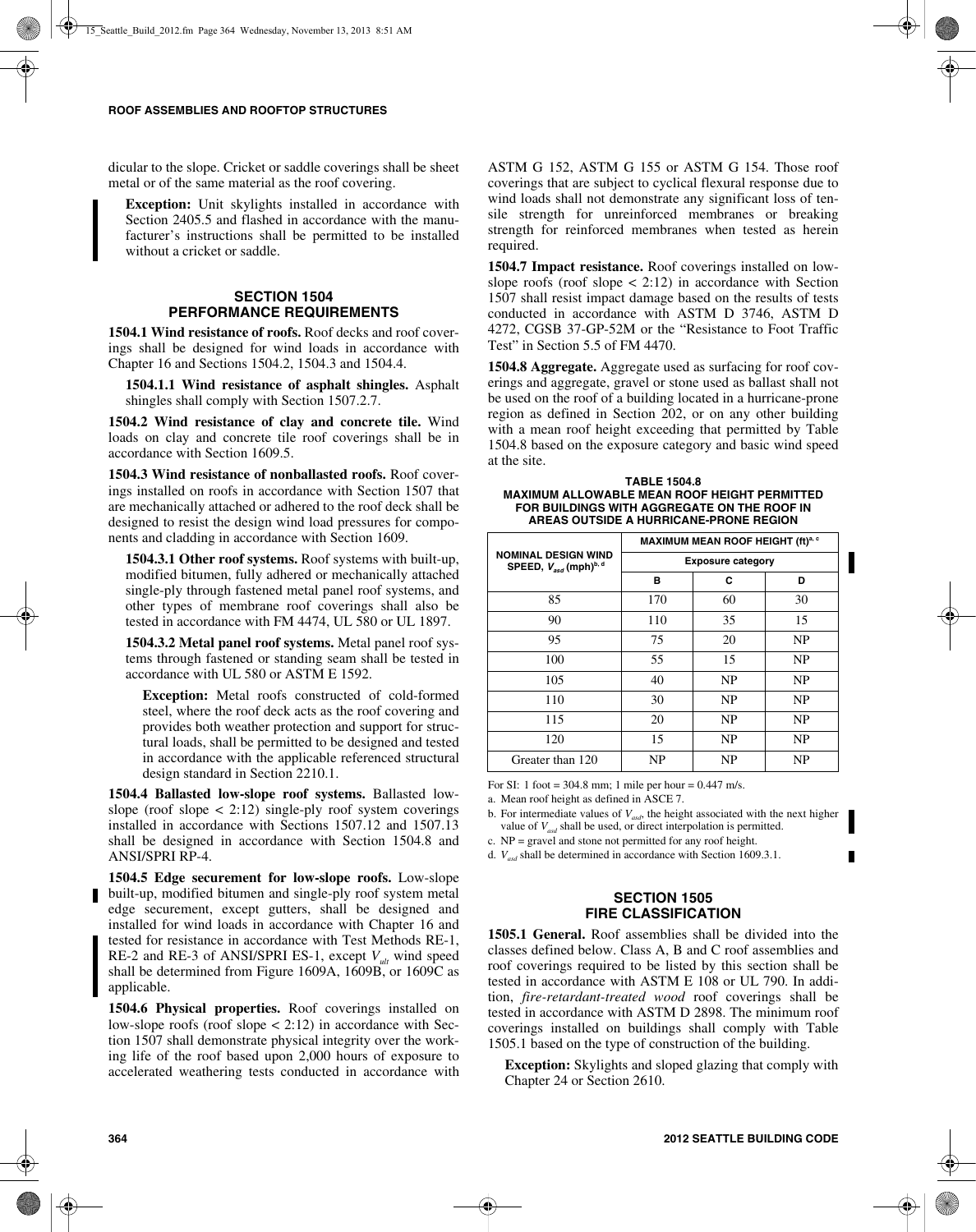dicular to the slope. Cricket or saddle coverings shall be sheet metal or of the same material as the roof covering.

**Exception:** Unit skylights installed in accordance with Section 2405.5 and flashed in accordance with the manufacturer's instructions shall be permitted to be installed without a cricket or saddle.

## **SECTION 1504 PERFORMANCE REQUIREMENTS**

**1504.1 Wind resistance of roofs.** Roof decks and roof coverings shall be designed for wind loads in accordance with Chapter 16 and Sections 1504.2, 1504.3 and 1504.4.

**1504.1.1 Wind resistance of asphalt shingles.** Asphalt shingles shall comply with Section 1507.2.7.

**1504.2 Wind resistance of clay and concrete tile.** Wind loads on clay and concrete tile roof coverings shall be in accordance with Section 1609.5.

**1504.3 Wind resistance of nonballasted roofs.** Roof coverings installed on roofs in accordance with Section 1507 that are mechanically attached or adhered to the roof deck shall be designed to resist the design wind load pressures for components and cladding in accordance with Section 1609.

**1504.3.1 Other roof systems.** Roof systems with built-up, modified bitumen, fully adhered or mechanically attached single-ply through fastened metal panel roof systems, and other types of membrane roof coverings shall also be tested in accordance with FM 4474, UL 580 or UL 1897.

**1504.3.2 Metal panel roof systems.** Metal panel roof systems through fastened or standing seam shall be tested in accordance with UL 580 or ASTM E 1592.

**Exception:** Metal roofs constructed of cold-formed steel, where the roof deck acts as the roof covering and provides both weather protection and support for structural loads, shall be permitted to be designed and tested in accordance with the applicable referenced structural design standard in Section 2210.1.

**1504.4 Ballasted low-slope roof systems.** Ballasted lowslope (roof slope  $\langle 2:12 \rangle$  single-ply roof system coverings installed in accordance with Sections 1507.12 and 1507.13 shall be designed in accordance with Section 1504.8 and ANSI/SPRI RP-4.

**1504.5 Edge securement for low-slope roofs.** Low-slope built-up, modified bitumen and single-ply roof system metal edge securement, except gutters, shall be designed and installed for wind loads in accordance with Chapter 16 and tested for resistance in accordance with Test Methods RE-1, RE-2 and RE-3 of ANSI/SPRI ES-1, except  $V_{ult}$  wind speed shall be determined from Figure 1609A, 1609B, or 1609C as applicable.

**1504.6 Physical properties.** Roof coverings installed on low-slope roofs (roof slope  $\lt$  2:12) in accordance with Section 1507 shall demonstrate physical integrity over the working life of the roof based upon 2,000 hours of exposure to accelerated weathering tests conducted in accordance with ASTM G 152, ASTM G 155 or ASTM G 154. Those roof coverings that are subject to cyclical flexural response due to wind loads shall not demonstrate any significant loss of tensile strength for unreinforced membranes or breaking strength for reinforced membranes when tested as herein required.

**1504.7 Impact resistance.** Roof coverings installed on lowslope roofs (roof slope  $\lt$  2:12) in accordance with Section 1507 shall resist impact damage based on the results of tests conducted in accordance with ASTM D 3746, ASTM D 4272, CGSB 37-GP-52M or the "Resistance to Foot Traffic Test" in Section 5.5 of FM 4470.

**1504.8 Aggregate.** Aggregate used as surfacing for roof coverings and aggregate, gravel or stone used as ballast shall not be used on the roof of a building located in a hurricane-prone region as defined in Section 202, or on any other building with a mean roof height exceeding that permitted by Table 1504.8 based on the exposure category and basic wind speed at the site.

**TABLE 1504.8 MAXIMUM ALLOWABLE MEAN ROOF HEIGHT PERMITTED FOR BUILDINGS WITH AGGREGATE ON THE ROOF IN AREAS OUTSIDE A HURRICANE-PRONE REGION**

|                                                                             | MAXIMUM MEAN ROOF HEIGHT (ft) <sup>a, c</sup> |    |           |  |
|-----------------------------------------------------------------------------|-----------------------------------------------|----|-----------|--|
| <b>NOMINAL DESIGN WIND</b><br>SPEED, $V_{\text{asc}}$ (mph) <sup>b, d</sup> | <b>Exposure category</b>                      |    |           |  |
|                                                                             | в                                             | С  | D         |  |
| 85                                                                          | 170                                           | 60 | 30        |  |
| 90                                                                          | 110                                           | 35 | 15        |  |
| 95                                                                          | 75                                            | 20 | <b>NP</b> |  |
| 100                                                                         | 55                                            | 15 | NP        |  |
| 105                                                                         | 40                                            | NP | NP        |  |
| 110                                                                         | 30                                            | NP | NP        |  |
| 115                                                                         | 20                                            | NP | <b>NP</b> |  |
| 120                                                                         | 15                                            | NP | NP        |  |
| Greater than 120                                                            | NP                                            | NP | NP        |  |

For SI: 1 foot =  $304.8$  mm; 1 mile per hour =  $0.447$  m/s.

a. Mean roof height as defined in ASCE 7.

b. For intermediate values of  $V_{\text{asd}}$ , the height associated with the next higher value of  $V_{\text{asd}}$  shall be used, or direct interpolation is permitted.

c. NP = gravel and stone not permitted for any roof height.

d. *Vasd* shall be determined in accordance with Section 1609.3.1.

### **SECTION 1505 FIRE CLASSIFICATION**

**1505.1 General.** Roof assemblies shall be divided into the classes defined below. Class A, B and C roof assemblies and roof coverings required to be listed by this section shall be tested in accordance with ASTM E 108 or UL 790. In addition, *fire-retardant-treated wood* roof coverings shall be tested in accordance with ASTM D 2898. The minimum roof coverings installed on buildings shall comply with Table 1505.1 based on the type of construction of the building.

**Exception:** Skylights and sloped glazing that comply with Chapter 24 or Section 2610.

П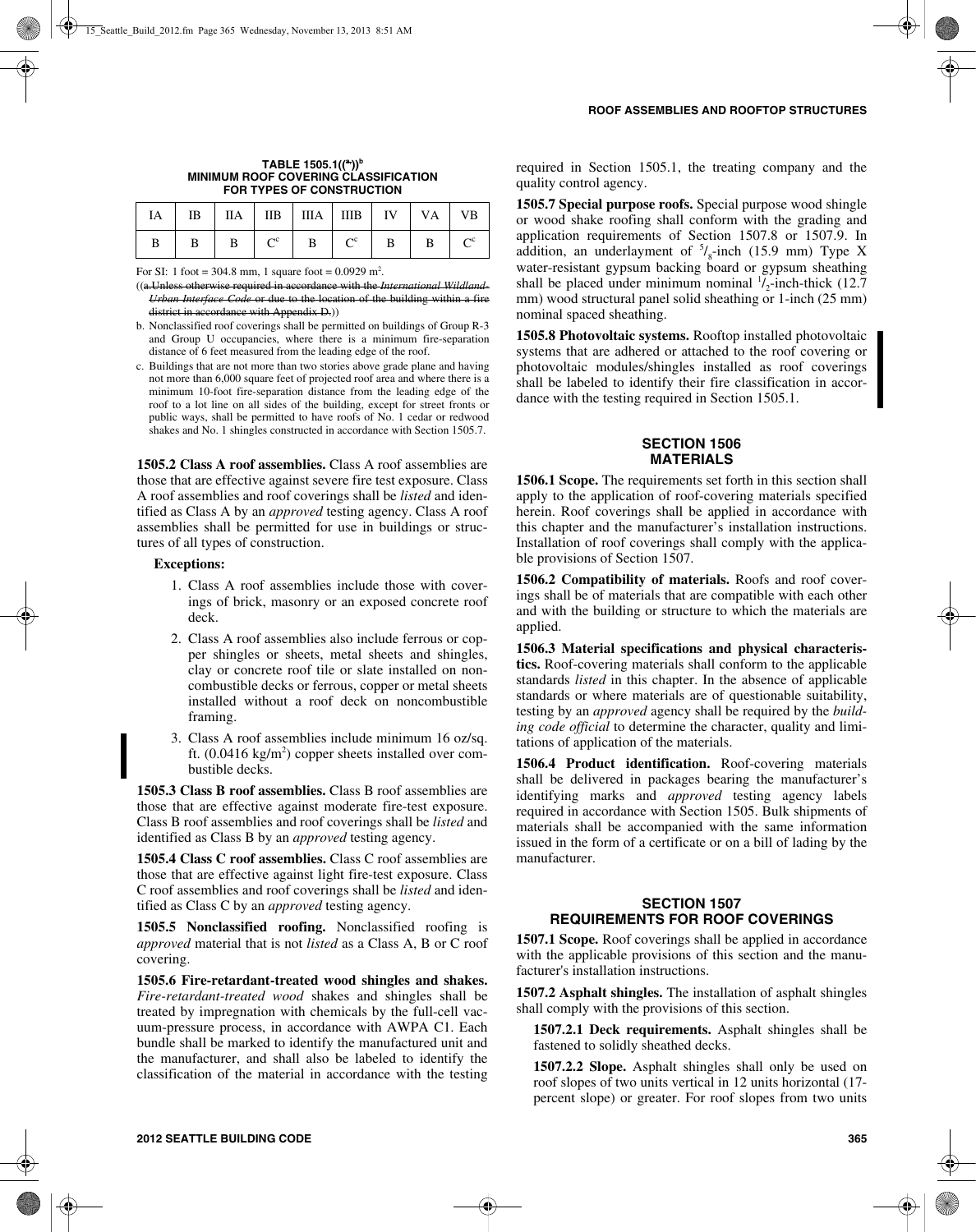| TABLE $1505.1($ <sup>(a</sup> )) <sup>b</sup> |
|-----------------------------------------------|
| <b>MINIMUM ROOF COVERING CLASSIFICATION</b>   |
| FOR TYPES OF CONSTRUCTION                     |

|  |              | $IA$   IB   IIA   IIB   IIIA   IIIB   IV   VA   VB                                                                                                       |  |  |
|--|--------------|----------------------------------------------------------------------------------------------------------------------------------------------------------|--|--|
|  | $\mathbf{B}$ | $\begin{array}{c c c c c c c c c} \hline \end{array}$ $\begin{array}{c c c c c} \hline \text{C}^{\text{c}} & \text{B} & \text{B} & \text{B} \end{array}$ |  |  |

For SI: 1 foot = 304.8 mm, 1 square foot =  $0.0929$  m<sup>2</sup>.

((a.Unless otherwise required in accordance with the *International Wildland-Urban Interface Code* or due to the location of the building within a fire district in accordance with Appendix D.))

- b. Nonclassified roof coverings shall be permitted on buildings of Group R-3 and Group U occupancies, where there is a minimum fire-separation distance of 6 feet measured from the leading edge of the roof.
- c. Buildings that are not more than two stories above grade plane and having not more than 6,000 square feet of projected roof area and where there is a minimum 10-foot fire-separation distance from the leading edge of the roof to a lot line on all sides of the building, except for street fronts or public ways, shall be permitted to have roofs of No. 1 cedar or redwood shakes and No. 1 shingles constructed in accordance with Section 1505.7.

**1505.2 Class A roof assemblies.** Class A roof assemblies are those that are effective against severe fire test exposure. Class A roof assemblies and roof coverings shall be *listed* and identified as Class A by an *approved* testing agency. Class A roof assemblies shall be permitted for use in buildings or structures of all types of construction.

#### **Exceptions:**

- 1. Class A roof assemblies include those with coverings of brick, masonry or an exposed concrete roof deck.
- 2. Class A roof assemblies also include ferrous or copper shingles or sheets, metal sheets and shingles, clay or concrete roof tile or slate installed on noncombustible decks or ferrous, copper or metal sheets installed without a roof deck on noncombustible framing.
- 3. Class A roof assemblies include minimum 16 oz/sq. ft.  $(0.0416 \text{ kg/m}^2)$  copper sheets installed over combustible decks.

**1505.3 Class B roof assemblies.** Class B roof assemblies are those that are effective against moderate fire-test exposure. Class B roof assemblies and roof coverings shall be *listed* and identified as Class B by an *approved* testing agency.

**1505.4 Class C roof assemblies.** Class C roof assemblies are those that are effective against light fire-test exposure. Class C roof assemblies and roof coverings shall be *listed* and identified as Class C by an *approved* testing agency.

**1505.5 Nonclassified roofing.** Nonclassified roofing is *approved* material that is not *listed* as a Class A, B or C roof covering.

**1505.6 Fire-retardant-treated wood shingles and shakes.** *Fire-retardant-treated wood* shakes and shingles shall be treated by impregnation with chemicals by the full-cell vacuum-pressure process, in accordance with AWPA C1. Each bundle shall be marked to identify the manufactured unit and the manufacturer, and shall also be labeled to identify the classification of the material in accordance with the testing required in Section 1505.1, the treating company and the quality control agency.

**1505.7 Special purpose roofs.** Special purpose wood shingle or wood shake roofing shall conform with the grading and application requirements of Section 1507.8 or 1507.9. In addition, an underlayment of  $\frac{5}{8}$ -inch (15.9 mm) Type X water-resistant gypsum backing board or gypsum sheathing shall be placed under minimum nominal  $\frac{1}{2}$ -inch-thick (12.7) mm) wood structural panel solid sheathing or 1-inch (25 mm) nominal spaced sheathing.

**1505.8 Photovoltaic systems.** Rooftop installed photovoltaic systems that are adhered or attached to the roof covering or photovoltaic modules/shingles installed as roof coverings shall be labeled to identify their fire classification in accordance with the testing required in Section 1505.1.

## **SECTION 1506 MATERIALS**

**1506.1 Scope.** The requirements set forth in this section shall apply to the application of roof-covering materials specified herein. Roof coverings shall be applied in accordance with this chapter and the manufacturer's installation instructions. Installation of roof coverings shall comply with the applicable provisions of Section 1507.

**1506.2 Compatibility of materials.** Roofs and roof coverings shall be of materials that are compatible with each other and with the building or structure to which the materials are applied.

**1506.3 Material specifications and physical characteristics.** Roof-covering materials shall conform to the applicable standards *listed* in this chapter. In the absence of applicable standards or where materials are of questionable suitability, testing by an *approved* agency shall be required by the *building code official* to determine the character, quality and limitations of application of the materials.

**1506.4 Product identification.** Roof-covering materials shall be delivered in packages bearing the manufacturer's identifying marks and *approved* testing agency labels required in accordance with Section 1505. Bulk shipments of materials shall be accompanied with the same information issued in the form of a certificate or on a bill of lading by the manufacturer.

## **SECTION 1507 REQUIREMENTS FOR ROOF COVERINGS**

**1507.1 Scope.** Roof coverings shall be applied in accordance with the applicable provisions of this section and the manufacturer's installation instructions.

**1507.2 Asphalt shingles.** The installation of asphalt shingles shall comply with the provisions of this section.

**1507.2.1 Deck requirements.** Asphalt shingles shall be fastened to solidly sheathed decks.

**1507.2.2 Slope.** Asphalt shingles shall only be used on roof slopes of two units vertical in 12 units horizontal (17 percent slope) or greater. For roof slopes from two units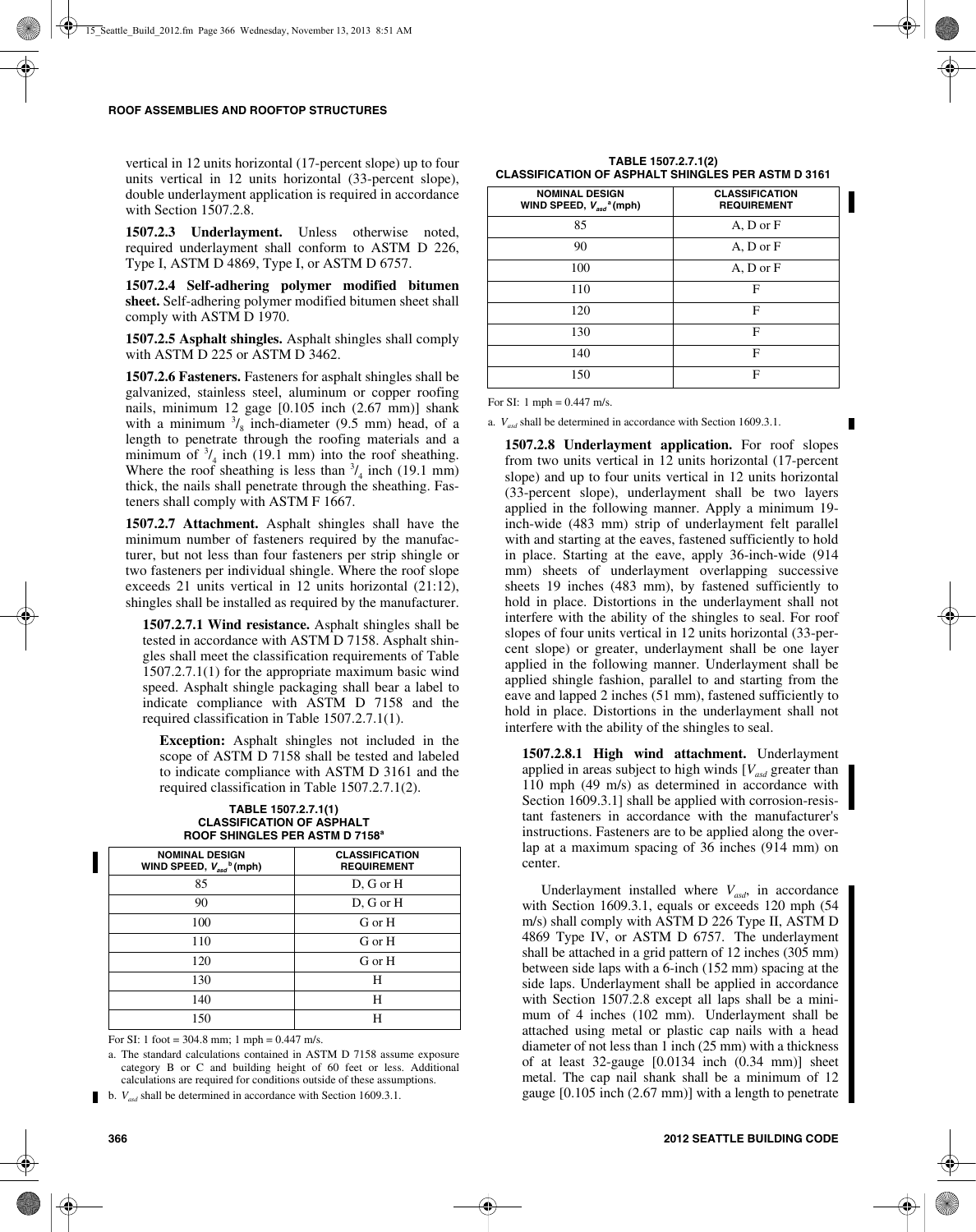vertical in 12 units horizontal (17-percent slope) up to four units vertical in 12 units horizontal (33-percent slope), double underlayment application is required in accordance with Section 1507.2.8.

**1507.2.3 Underlayment.** Unless otherwise noted, required underlayment shall conform to ASTM D 226, Type I, ASTM D 4869, Type I, or ASTM D 6757.

**1507.2.4 Self-adhering polymer modified bitumen sheet.** Self-adhering polymer modified bitumen sheet shall comply with ASTM D 1970.

**1507.2.5 Asphalt shingles.** Asphalt shingles shall comply with ASTM D 225 or ASTM D 3462.

**1507.2.6 Fasteners.** Fasteners for asphalt shingles shall be galvanized, stainless steel, aluminum or copper roofing nails, minimum 12 gage [0.105 inch (2.67 mm)] shank with a minimum  $\frac{3}{8}$  inch-diameter (9.5 mm) head, of a length to penetrate through the roofing materials and a minimum of  $\frac{3}{4}$  inch (19.1 mm) into the roof sheathing. Where the roof sheathing is less than  $\frac{3}{4}$  inch (19.1 mm) thick, the nails shall penetrate through the sheathing. Fasteners shall comply with ASTM F 1667.

**1507.2.7 Attachment.** Asphalt shingles shall have the minimum number of fasteners required by the manufacturer, but not less than four fasteners per strip shingle or two fasteners per individual shingle. Where the roof slope exceeds 21 units vertical in 12 units horizontal (21:12), shingles shall be installed as required by the manufacturer.

**1507.2.7.1 Wind resistance.** Asphalt shingles shall be tested in accordance with ASTM D 7158. Asphalt shingles shall meet the classification requirements of Table 1507.2.7.1(1) for the appropriate maximum basic wind speed. Asphalt shingle packaging shall bear a label to indicate compliance with ASTM D 7158 and the required classification in Table 1507.2.7.1(1).

**Exception:** Asphalt shingles not included in the scope of ASTM D 7158 shall be tested and labeled to indicate compliance with ASTM D 3161 and the required classification in Table 1507.2.7.1(2).

| 11001 0111110220 LERAO HIL <i>D</i> 7100                          |                                             |  |  |
|-------------------------------------------------------------------|---------------------------------------------|--|--|
| <b>NOMINAL DESIGN</b><br>WIND SPEED, $V_{asd}$ <sup>b</sup> (mph) | <b>CLASSIFICATION</b><br><b>REQUIREMENT</b> |  |  |
| 85                                                                | D, G or H                                   |  |  |
| 90                                                                | D, G or H                                   |  |  |
| 100                                                               | G or H                                      |  |  |
| 110                                                               | G or H                                      |  |  |
| 120                                                               | G or H                                      |  |  |
| 130                                                               | H                                           |  |  |
| 140                                                               | H                                           |  |  |
| 150                                                               | Н                                           |  |  |

#### **TABLE 1507.2.7.1(1) CLASSIFICATION OF ASPHALT ROOF SHINGLES PER ASTM D 7158a**

For SI: 1 foot =  $304.8$  mm; 1 mph =  $0.447$  m/s.

a. The standard calculations contained in ASTM D 7158 assume exposure category B or C and building height of 60 feet or less. Additional calculations are required for conditions outside of these assumptions.

b. *Vasd* shall be determined in accordance with Section 1609.3.1.

| <b>NOMINAL DESIGN</b><br>WIND SPEED, $V_{asd}$ <sup>a</sup> (mph) | <b>CLASSIFICATION</b><br><b>REQUIREMENT</b> |
|-------------------------------------------------------------------|---------------------------------------------|
| 85                                                                | A, D or F                                   |
| 90                                                                | A, D or F                                   |
| 100                                                               | A, D or F                                   |
| 110                                                               | F                                           |
| 120                                                               | F                                           |
| 130                                                               | F                                           |
| 140                                                               | F                                           |
| 150                                                               | F                                           |

#### **TABLE 1507.2.7.1(2) CLASSIFICATION OF ASPHALT SHINGLES PER ASTM D 3161**

For SI: 1 mph = 0.447 m/s.

a. *Vasd* shall be determined in accordance with Section 1609.3.1.

**1507.2.8 Underlayment application.** For roof slopes from two units vertical in 12 units horizontal (17-percent slope) and up to four units vertical in 12 units horizontal (33-percent slope), underlayment shall be two layers applied in the following manner. Apply a minimum 19 inch-wide (483 mm) strip of underlayment felt parallel with and starting at the eaves, fastened sufficiently to hold in place. Starting at the eave, apply 36-inch-wide (914 mm) sheets of underlayment overlapping successive sheets 19 inches (483 mm), by fastened sufficiently to hold in place. Distortions in the underlayment shall not interfere with the ability of the shingles to seal. For roof slopes of four units vertical in 12 units horizontal (33-percent slope) or greater, underlayment shall be one layer applied in the following manner. Underlayment shall be applied shingle fashion, parallel to and starting from the eave and lapped 2 inches (51 mm), fastened sufficiently to hold in place. Distortions in the underlayment shall not interfere with the ability of the shingles to seal.

**1507.2.8.1 High wind attachment.** Underlayment applied in areas subject to high winds  $[V_{asd}]$  greater than 110 mph (49 m/s) as determined in accordance with Section 1609.3.1] shall be applied with corrosion-resistant fasteners in accordance with the manufacturer's instructions. Fasteners are to be applied along the overlap at a maximum spacing of 36 inches (914 mm) on center.

Underlayment installed where  $V_{asd}$ , in accordance with Section 1609.3.1, equals or exceeds 120 mph (54 m/s) shall comply with ASTM D 226 Type II, ASTM D 4869 Type IV, or ASTM D 6757. The underlayment shall be attached in a grid pattern of 12 inches (305 mm) between side laps with a 6-inch (152 mm) spacing at the side laps. Underlayment shall be applied in accordance with Section 1507.2.8 except all laps shall be a minimum of 4 inches (102 mm). Underlayment shall be attached using metal or plastic cap nails with a head diameter of not less than 1 inch (25 mm) with a thickness of at least 32-gauge [0.0134 inch (0.34 mm)] sheet metal. The cap nail shank shall be a minimum of 12 gauge [0.105 inch (2.67 mm)] with a length to penetrate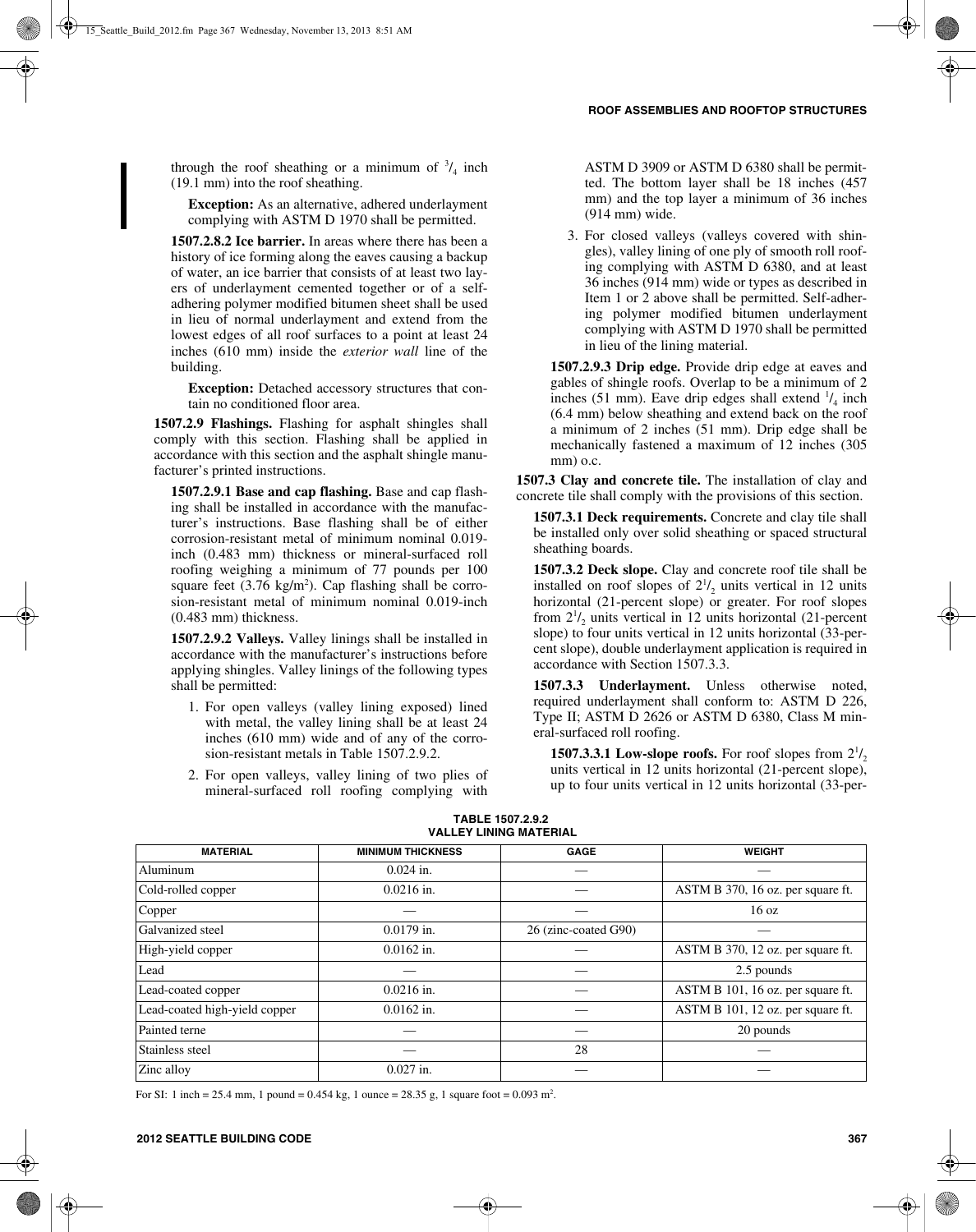through the roof sheathing or a minimum of  $\frac{3}{4}$  inch (19.1 mm) into the roof sheathing.

**Exception:** As an alternative, adhered underlayment complying with ASTM D 1970 shall be permitted.

**1507.2.8.2 Ice barrier.** In areas where there has been a history of ice forming along the eaves causing a backup of water, an ice barrier that consists of at least two layers of underlayment cemented together or of a selfadhering polymer modified bitumen sheet shall be used in lieu of normal underlayment and extend from the lowest edges of all roof surfaces to a point at least 24 inches (610 mm) inside the *exterior wall* line of the building.

**Exception:** Detached accessory structures that contain no conditioned floor area.

**1507.2.9 Flashings.** Flashing for asphalt shingles shall comply with this section. Flashing shall be applied in accordance with this section and the asphalt shingle manufacturer's printed instructions.

**1507.2.9.1 Base and cap flashing.** Base and cap flashing shall be installed in accordance with the manufacturer's instructions. Base flashing shall be of either corrosion-resistant metal of minimum nominal 0.019 inch (0.483 mm) thickness or mineral-surfaced roll roofing weighing a minimum of 77 pounds per 100 square feet  $(3.76 \text{ kg/m}^2)$ . Cap flashing shall be corrosion-resistant metal of minimum nominal 0.019-inch (0.483 mm) thickness.

**1507.2.9.2 Valleys.** Valley linings shall be installed in accordance with the manufacturer's instructions before applying shingles. Valley linings of the following types shall be permitted:

- 1. For open valleys (valley lining exposed) lined with metal, the valley lining shall be at least 24 inches (610 mm) wide and of any of the corrosion-resistant metals in Table 1507.2.9.2.
- 2. For open valleys, valley lining of two plies of mineral-surfaced roll roofing complying with

ASTM D 3909 or ASTM D 6380 shall be permitted. The bottom layer shall be 18 inches (457 mm) and the top layer a minimum of 36 inches (914 mm) wide.

3. For closed valleys (valleys covered with shingles), valley lining of one ply of smooth roll roofing complying with ASTM D 6380, and at least 36 inches (914 mm) wide or types as described in Item 1 or 2 above shall be permitted. Self-adhering polymer modified bitumen underlayment complying with ASTM D 1970 shall be permitted in lieu of the lining material.

**1507.2.9.3 Drip edge.** Provide drip edge at eaves and gables of shingle roofs. Overlap to be a minimum of 2 inches (51 mm). Eave drip edges shall extend  $\frac{1}{4}$  inch (6.4 mm) below sheathing and extend back on the roof a minimum of 2 inches (51 mm). Drip edge shall be mechanically fastened a maximum of 12 inches (305 mm) o.c.

**1507.3 Clay and concrete tile.** The installation of clay and concrete tile shall comply with the provisions of this section.

**1507.3.1 Deck requirements.** Concrete and clay tile shall be installed only over solid sheathing or spaced structural sheathing boards.

**1507.3.2 Deck slope.** Clay and concrete roof tile shall be installed on roof slopes of  $2^{1/2}$  units vertical in 12 units horizontal (21-percent slope) or greater. For roof slopes from  $2^{1/2}$  units vertical in 12 units horizontal (21-percent slope) to four units vertical in 12 units horizontal (33-percent slope), double underlayment application is required in accordance with Section 1507.3.3.

**1507.3.3 Underlayment.** Unless otherwise noted, required underlayment shall conform to: ASTM D 226, Type II; ASTM D 2626 or ASTM D 6380, Class M mineral-surfaced roll roofing.

**1507.3.3.1 Low-slope roofs.** For roof slopes from  $2^{1/2}$ units vertical in 12 units horizontal (21-percent slope), up to four units vertical in 12 units horizontal (33-per-

| <b>MATERIAL</b>               | <b>MINIMUM THICKNESS</b> | <b>GAGE</b>          | <b>WEIGHT</b>                     |
|-------------------------------|--------------------------|----------------------|-----------------------------------|
| Aluminum                      | $0.024$ in.              |                      |                                   |
| Cold-rolled copper            | $0.0216$ in.             |                      | ASTM B 370, 16 oz. per square ft. |
| Copper                        |                          |                      | 16 <sub>oz</sub>                  |
| Galvanized steel              | $0.0179$ in.             | 26 (zinc-coated G90) |                                   |
| High-yield copper             | $0.0162$ in.             |                      | ASTM B 370, 12 oz. per square ft. |
| Lead                          |                          |                      | 2.5 pounds                        |
| Lead-coated copper            | $0.0216$ in.             |                      | ASTM B 101, 16 oz. per square ft. |
| Lead-coated high-yield copper | $0.0162$ in.             |                      | ASTM B 101, 12 oz. per square ft. |
| Painted terne                 |                          |                      | 20 pounds                         |
| Stainless steel               |                          | 28                   |                                   |
| Zinc alloy                    | $0.027$ in.              |                      |                                   |

**TABLE 1507.2.9.2 VALLEY LINING MATERIAL**

For SI: 1 inch = 25.4 mm, 1 pound = 0.454 kg, 1 ounce = 28.35 g, 1 square foot = 0.093 m<sup>2</sup>.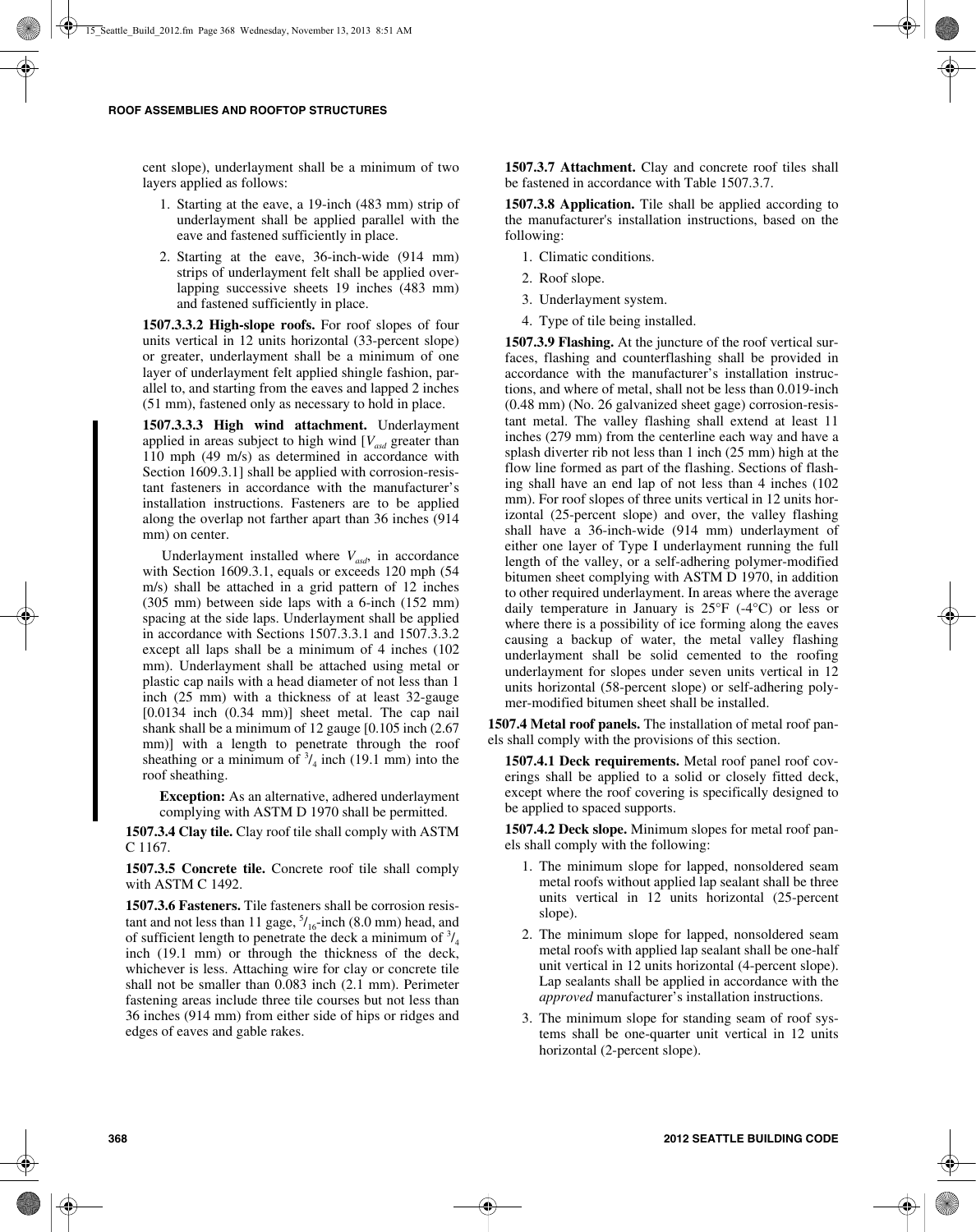cent slope), underlayment shall be a minimum of two layers applied as follows:

- 1. Starting at the eave, a 19-inch (483 mm) strip of underlayment shall be applied parallel with the eave and fastened sufficiently in place.
- 2. Starting at the eave, 36-inch-wide (914 mm) strips of underlayment felt shall be applied overlapping successive sheets 19 inches (483 mm) and fastened sufficiently in place.

**1507.3.3.2 High-slope roofs.** For roof slopes of four units vertical in 12 units horizontal (33-percent slope) or greater, underlayment shall be a minimum of one layer of underlayment felt applied shingle fashion, parallel to, and starting from the eaves and lapped 2 inches (51 mm), fastened only as necessary to hold in place.

**1507.3.3.3 High wind attachment.** Underlayment applied in areas subject to high wind  $[V_{ad}]$  greater than 110 mph (49 m/s) as determined in accordance with Section 1609.3.1] shall be applied with corrosion-resistant fasteners in accordance with the manufacturer's installation instructions. Fasteners are to be applied along the overlap not farther apart than 36 inches (914 mm) on center.

Underlayment installed where  $V_{\text{add}}$ , in accordance with Section 1609.3.1, equals or exceeds 120 mph (54 m/s) shall be attached in a grid pattern of 12 inches (305 mm) between side laps with a 6-inch (152 mm) spacing at the side laps. Underlayment shall be applied in accordance with Sections 1507.3.3.1 and 1507.3.3.2 except all laps shall be a minimum of 4 inches (102 mm). Underlayment shall be attached using metal or plastic cap nails with a head diameter of not less than 1 inch (25 mm) with a thickness of at least 32-gauge [0.0134 inch (0.34 mm)] sheet metal. The cap nail shank shall be a minimum of 12 gauge [0.105 inch (2.67 mm)] with a length to penetrate through the roof sheathing or a minimum of  $\frac{3}{4}$  inch (19.1 mm) into the roof sheathing.

**Exception:** As an alternative, adhered underlayment complying with ASTM D 1970 shall be permitted.

**1507.3.4 Clay tile.** Clay roof tile shall comply with ASTM C 1167.

**1507.3.5 Concrete tile.** Concrete roof tile shall comply with ASTM C 1492.

**1507.3.6 Fasteners.** Tile fasteners shall be corrosion resistant and not less than 11 gage,  $\frac{5}{16}$ -inch (8.0 mm) head, and of sufficient length to penetrate the deck a minimum of  $\frac{3}{4}$ inch (19.1 mm) or through the thickness of the deck, whichever is less. Attaching wire for clay or concrete tile shall not be smaller than 0.083 inch (2.1 mm). Perimeter fastening areas include three tile courses but not less than 36 inches (914 mm) from either side of hips or ridges and edges of eaves and gable rakes.

**1507.3.7 Attachment.** Clay and concrete roof tiles shall be fastened in accordance with Table 1507.3.7.

**1507.3.8 Application.** Tile shall be applied according to the manufacturer's installation instructions, based on the following:

- 1. Climatic conditions.
- 2. Roof slope.
- 3. Underlayment system.
- 4. Type of tile being installed.

**1507.3.9 Flashing.** At the juncture of the roof vertical surfaces, flashing and counterflashing shall be provided in accordance with the manufacturer's installation instructions, and where of metal, shall not be less than 0.019-inch (0.48 mm) (No. 26 galvanized sheet gage) corrosion-resistant metal. The valley flashing shall extend at least 11 inches (279 mm) from the centerline each way and have a splash diverter rib not less than 1 inch (25 mm) high at the flow line formed as part of the flashing. Sections of flashing shall have an end lap of not less than 4 inches (102 mm). For roof slopes of three units vertical in 12 units horizontal (25-percent slope) and over, the valley flashing shall have a 36-inch-wide (914 mm) underlayment of either one layer of Type I underlayment running the full length of the valley, or a self-adhering polymer-modified bitumen sheet complying with ASTM D 1970, in addition to other required underlayment. In areas where the average daily temperature in January is  $25^{\circ}F$  (-4 $^{\circ}C$ ) or less or where there is a possibility of ice forming along the eaves causing a backup of water, the metal valley flashing underlayment shall be solid cemented to the roofing underlayment for slopes under seven units vertical in 12 units horizontal (58-percent slope) or self-adhering polymer-modified bitumen sheet shall be installed.

**1507.4 Metal roof panels.** The installation of metal roof panels shall comply with the provisions of this section.

**1507.4.1 Deck requirements.** Metal roof panel roof coverings shall be applied to a solid or closely fitted deck, except where the roof covering is specifically designed to be applied to spaced supports.

**1507.4.2 Deck slope.** Minimum slopes for metal roof panels shall comply with the following:

- 1. The minimum slope for lapped, nonsoldered seam metal roofs without applied lap sealant shall be three units vertical in 12 units horizontal (25-percent slope).
- 2. The minimum slope for lapped, nonsoldered seam metal roofs with applied lap sealant shall be one-half unit vertical in 12 units horizontal (4-percent slope). Lap sealants shall be applied in accordance with the *approved* manufacturer's installation instructions.
- 3. The minimum slope for standing seam of roof systems shall be one-quarter unit vertical in 12 units horizontal (2-percent slope).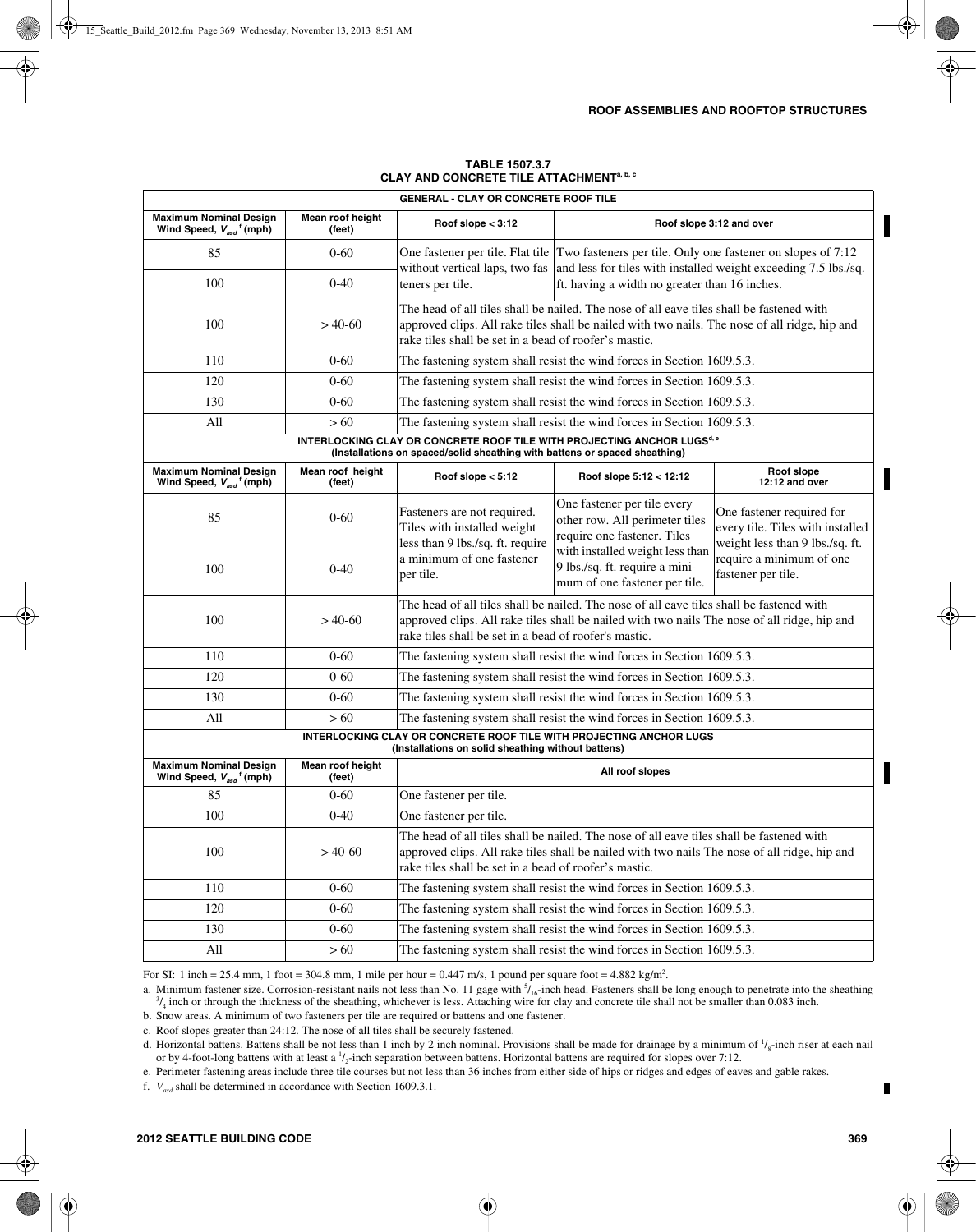| <b>GENERAL - CLAY OR CONCRETE ROOF TILE</b>                                                                                                                       |                            |                                                                                                                                                                                                                                                    |                                                                                                                                                                                          |                                                                                                                                                                                                 |  |
|-------------------------------------------------------------------------------------------------------------------------------------------------------------------|----------------------------|----------------------------------------------------------------------------------------------------------------------------------------------------------------------------------------------------------------------------------------------------|------------------------------------------------------------------------------------------------------------------------------------------------------------------------------------------|-------------------------------------------------------------------------------------------------------------------------------------------------------------------------------------------------|--|
| <b>Maximum Nominal Design</b><br>Wind Speed, V <sub>asd</sub> <sup>f</sup> (mph)                                                                                  | Mean roof height<br>(feet) | Roof slope $<$ 3:12                                                                                                                                                                                                                                |                                                                                                                                                                                          | Roof slope 3:12 and over                                                                                                                                                                        |  |
| 85                                                                                                                                                                | $0 - 60$                   |                                                                                                                                                                                                                                                    |                                                                                                                                                                                          | One fastener per tile. Flat tile Two fasteners per tile. Only one fastener on slopes of 7:12<br>without vertical laps, two fas- and less for tiles with installed weight exceeding 7.5 lbs./sq. |  |
| 100                                                                                                                                                               | $0 - 40$                   | teners per tile.<br>ft. having a width no greater than 16 inches.                                                                                                                                                                                  |                                                                                                                                                                                          |                                                                                                                                                                                                 |  |
| 100                                                                                                                                                               | $>40-60$                   | The head of all tiles shall be nailed. The nose of all eave tiles shall be fastened with<br>approved clips. All rake tiles shall be nailed with two nails. The nose of all ridge, hip and<br>rake tiles shall be set in a bead of roofer's mastic. |                                                                                                                                                                                          |                                                                                                                                                                                                 |  |
| 110                                                                                                                                                               | $0 - 60$                   |                                                                                                                                                                                                                                                    | The fastening system shall resist the wind forces in Section 1609.5.3.                                                                                                                   |                                                                                                                                                                                                 |  |
| 120                                                                                                                                                               | $0 - 60$                   |                                                                                                                                                                                                                                                    | The fastening system shall resist the wind forces in Section 1609.5.3.                                                                                                                   |                                                                                                                                                                                                 |  |
| 130                                                                                                                                                               | $0 - 60$                   |                                                                                                                                                                                                                                                    | The fastening system shall resist the wind forces in Section 1609.5.3.                                                                                                                   |                                                                                                                                                                                                 |  |
| All                                                                                                                                                               | >60                        |                                                                                                                                                                                                                                                    | The fastening system shall resist the wind forces in Section 1609.5.3.                                                                                                                   |                                                                                                                                                                                                 |  |
| INTERLOCKING CLAY OR CONCRETE ROOF TILE WITH PROJECTING ANCHOR LUGS <sup>d, e</sup><br>(Installations on spaced/solid sheathing with battens or spaced sheathing) |                            |                                                                                                                                                                                                                                                    |                                                                                                                                                                                          |                                                                                                                                                                                                 |  |
| <b>Maximum Nominal Design</b><br>Wind Speed, $V_{asd}$ <sup>f</sup> (mph)                                                                                         | Mean roof height<br>(feet) | Roof slope $< 5:12$                                                                                                                                                                                                                                | Roof slope 5:12 < 12:12                                                                                                                                                                  | Roof slope<br>12:12 and over                                                                                                                                                                    |  |
| 85                                                                                                                                                                | $0 - 60$                   | Fasteners are not required.<br>Tiles with installed weight<br>less than 9 lbs./sq. ft. require                                                                                                                                                     | One fastener per tile every<br>other row. All perimeter tiles<br>require one fastener. Tiles                                                                                             | One fastener required for<br>every tile. Tiles with installed<br>weight less than 9 lbs./sq. ft.                                                                                                |  |
| 100                                                                                                                                                               | $0 - 40$                   | a minimum of one fastener<br>per tile.                                                                                                                                                                                                             | with installed weight less than<br>9 lbs./sq. ft. require a mini-<br>mum of one fastener per tile.                                                                                       | require a minimum of one<br>fastener per tile.                                                                                                                                                  |  |
| 100                                                                                                                                                               | $>40-60$                   | The head of all tiles shall be nailed. The nose of all eave tiles shall be fastened with<br>approved clips. All rake tiles shall be nailed with two nails The nose of all ridge, hip and<br>rake tiles shall be set in a bead of roofer's mastic.  |                                                                                                                                                                                          |                                                                                                                                                                                                 |  |
| 110                                                                                                                                                               | $0 - 60$                   | The fastening system shall resist the wind forces in Section 1609.5.3.                                                                                                                                                                             |                                                                                                                                                                                          |                                                                                                                                                                                                 |  |
| 120                                                                                                                                                               | $0 - 60$                   |                                                                                                                                                                                                                                                    | The fastening system shall resist the wind forces in Section 1609.5.3.                                                                                                                   |                                                                                                                                                                                                 |  |
| 130                                                                                                                                                               | $0 - 60$                   |                                                                                                                                                                                                                                                    | The fastening system shall resist the wind forces in Section 1609.5.3.                                                                                                                   |                                                                                                                                                                                                 |  |
| All                                                                                                                                                               | >60                        |                                                                                                                                                                                                                                                    | The fastening system shall resist the wind forces in Section 1609.5.3.                                                                                                                   |                                                                                                                                                                                                 |  |
|                                                                                                                                                                   |                            | (Installations on solid sheathing without battens)                                                                                                                                                                                                 | INTERLOCKING CLAY OR CONCRETE ROOF TILE WITH PROJECTING ANCHOR LUGS                                                                                                                      |                                                                                                                                                                                                 |  |
| <b>Maximum Nominal Design</b><br>Wind Speed, $V_{\text{asd}}$ <sup>†</sup> (mph)                                                                                  | Mean roof height<br>(feet) |                                                                                                                                                                                                                                                    | All roof slopes                                                                                                                                                                          |                                                                                                                                                                                                 |  |
| 85                                                                                                                                                                | $0 - 60$                   | One fastener per tile.                                                                                                                                                                                                                             |                                                                                                                                                                                          |                                                                                                                                                                                                 |  |
| 100                                                                                                                                                               | $0 - 40$                   | One fastener per tile.                                                                                                                                                                                                                             |                                                                                                                                                                                          |                                                                                                                                                                                                 |  |
| 100                                                                                                                                                               | $> 40-60$                  | rake tiles shall be set in a bead of roofer's mastic.                                                                                                                                                                                              | The head of all tiles shall be nailed. The nose of all eave tiles shall be fastened with<br>approved clips. All rake tiles shall be nailed with two nails The nose of all ridge, hip and |                                                                                                                                                                                                 |  |
| 110                                                                                                                                                               | $0 - 60$                   |                                                                                                                                                                                                                                                    | The fastening system shall resist the wind forces in Section 1609.5.3.                                                                                                                   |                                                                                                                                                                                                 |  |
| 120                                                                                                                                                               | $0 - 60$                   | The fastening system shall resist the wind forces in Section 1609.5.3.                                                                                                                                                                             |                                                                                                                                                                                          |                                                                                                                                                                                                 |  |
| 130                                                                                                                                                               | $0 - 60$                   | The fastening system shall resist the wind forces in Section 1609.5.3.                                                                                                                                                                             |                                                                                                                                                                                          |                                                                                                                                                                                                 |  |
| All                                                                                                                                                               | >60                        | The fastening system shall resist the wind forces in Section 1609.5.3.                                                                                                                                                                             |                                                                                                                                                                                          |                                                                                                                                                                                                 |  |

#### **TABLE 1507.3.7 CLAY AND CONCRETE TILE ATTACHMENTa, b, c**

For SI: 1 inch = 25.4 mm, 1 foot = 304.8 mm, 1 mile per hour = 0.447 m/s, 1 pound per square foot = 4.882 kg/m<sup>2</sup>.

a. Minimum fastener size. Corrosion-resistant nails not less than No. 11 gage with  $\frac{5}{16}$ -inch head. Fasteners shall be long enough to penetrate into the sheathing  $\frac{3}{16}$  inch or through the thickness of the sheat  $\frac{3}{4}$  inch or through the thickness of the sheathing, whichever is less. Attaching wire for clay and concrete tile shall not be smaller than 0.083 inch.

b. Snow areas. A minimum of two fasteners per tile are required or battens and one fastener.

c. Roof slopes greater than 24:12. The nose of all tiles shall be securely fastened.

d. Horizontal battens. Battens shall be not less than 1 inch by 2 inch nominal. Provisions shall be made for drainage by a minimum of  $\frac{1}{s}$ -inch riser at each nail or by 4-foot-long battens with at least a  $\frac{1}{2}$ -inch separation between battens. Horizontal battens are required for slopes over 7:12.

e. Perimeter fastening areas include three tile courses but not less than 36 inches from either side of hips or ridges and edges of eaves and gable rakes.

f. *Vasd* shall be determined in accordance with Section 1609.3.1.

L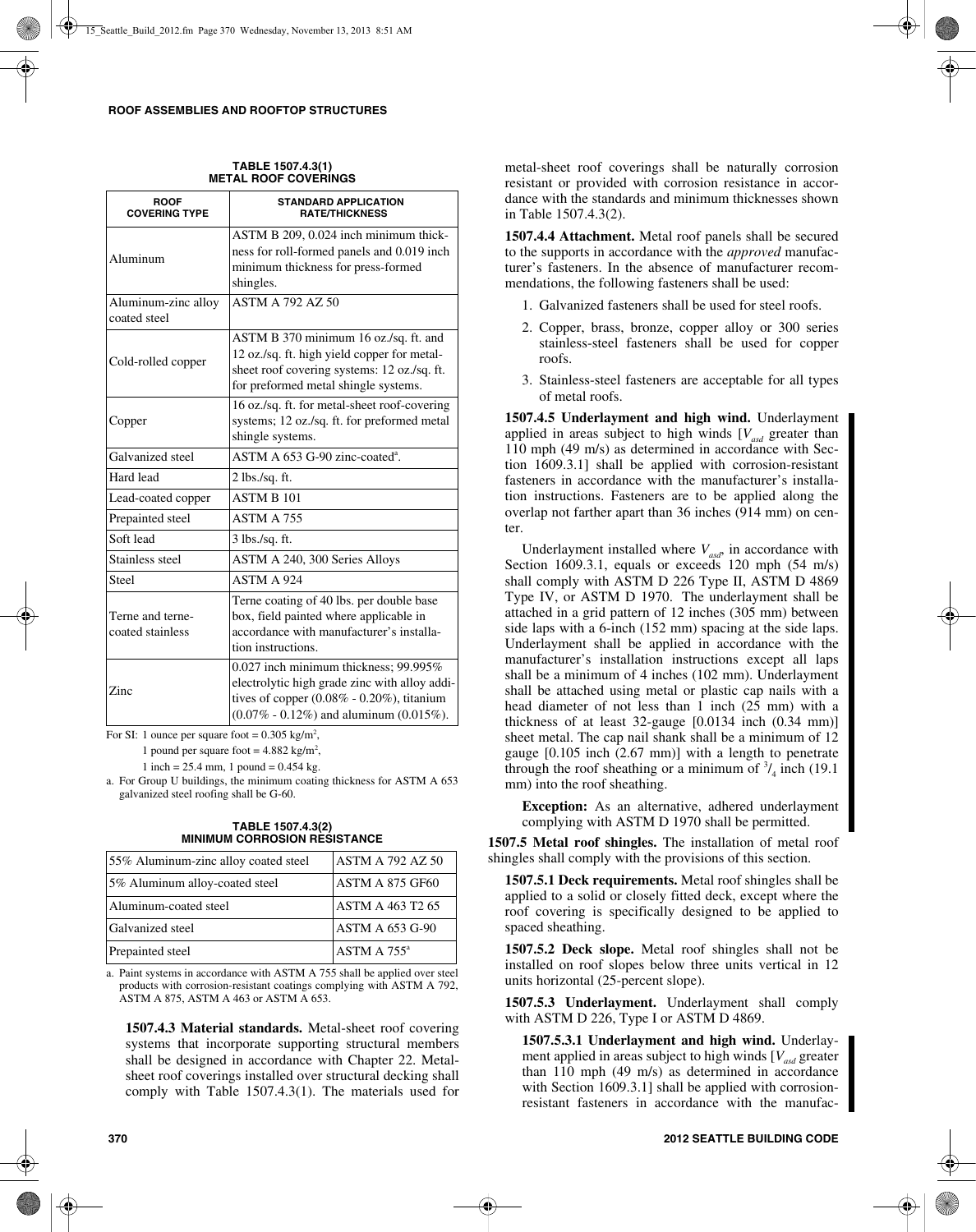| <b>ROOF</b><br><b>COVERING TYPE</b> | <b>STANDARD APPLICATION</b><br><b>RATE/THICKNESS</b> |
|-------------------------------------|------------------------------------------------------|
|                                     | ASTM B 209, 0.024 inch minimum thick-                |
| Aluminum                            | ness for roll-formed panels and 0.019 inch           |
|                                     | minimum thickness for press-formed                   |
|                                     | shingles.                                            |
| Aluminum-zinc alloy                 | <b>ASTM A 792 AZ 50</b>                              |
| coated steel                        |                                                      |
|                                     | ASTM B 370 minimum 16 oz./sq. ft. and                |
| Cold-rolled copper                  | 12 oz./sq. ft. high yield copper for metal-          |
|                                     | sheet roof covering systems: 12 oz./sq. ft.          |
|                                     | for preformed metal shingle systems.                 |
|                                     | 16 oz./sq. ft. for metal-sheet roof-covering         |
| Copper                              | systems; 12 oz./sq. ft. for preformed metal          |
|                                     | shingle systems.                                     |
| Galvanized steel                    | ASTM A 653 G-90 zinc-coated <sup>a</sup> .           |
| Hard lead                           | $2$ lbs./sq. ft.                                     |
| Lead-coated copper                  | <b>ASTM B 101</b>                                    |
| Prepainted steel                    | ASTM A 755                                           |
| Soft lead                           | $3$ lbs./sq. ft.                                     |
| Stainless steel                     | ASTM A 240, 300 Series Alloys                        |
| Steel                               | ASTM A 924                                           |
|                                     | Terne coating of 40 lbs. per double base             |
| Terne and terne-                    | box, field painted where applicable in               |
| coated stainless                    | accordance with manufacturer's installa-             |
|                                     | tion instructions.                                   |
|                                     | $0.027$ inch minimum thickness; 99.995%              |
| Zinc                                | electrolytic high grade zinc with alloy addi-        |
|                                     | tives of copper $(0.08\% - 0.20\%)$ , titanium       |
|                                     | $(0.07\% - 0.12\%)$ and aluminum $(0.015\%).$        |

**TABLE 1507.4.3(1) METAL ROOF COVERINGS**

For SI: 1 ounce per square foot =  $0.305 \text{ kg/m}^2$ ,

1 pound per square foot =  $4.882 \text{ kg/m}^2$ ,

1 inch =  $25.4$  mm, 1 pound =  $0.454$  kg.

a. For Group U buildings, the minimum coating thickness for ASTM A 653 galvanized steel roofing shall be G-60.

**TABLE 1507.4.3(2) MINIMUM CORROSION RESISTANCE**

| 55% Aluminum-zinc alloy coated steel | <b>ASTM A 792 AZ 50</b> |
|--------------------------------------|-------------------------|
| 5% Aluminum alloy-coated steel       | ASTM A 875 GF60         |
| Aluminum-coated steel                | <b>ASTM A 463 T2 65</b> |
| Galvanized steel                     | <b>ASTM A 653 G-90</b>  |
| Prepainted steel                     | ASTM A 755 <sup>a</sup> |

a. Paint systems in accordance with ASTM A 755 shall be applied over steel products with corrosion-resistant coatings complying with ASTM A 792, ASTM A 875, ASTM A 463 or ASTM A 653.

**1507.4.3 Material standards.** Metal-sheet roof covering systems that incorporate supporting structural members shall be designed in accordance with Chapter 22. Metalsheet roof coverings installed over structural decking shall comply with Table 1507.4.3(1). The materials used for metal-sheet roof coverings shall be naturally corrosion resistant or provided with corrosion resistance in accordance with the standards and minimum thicknesses shown in Table 1507.4.3(2).

**1507.4.4 Attachment.** Metal roof panels shall be secured to the supports in accordance with the *approved* manufacturer's fasteners. In the absence of manufacturer recommendations, the following fasteners shall be used:

- 1. Galvanized fasteners shall be used for steel roofs.
- 2. Copper, brass, bronze, copper alloy or 300 series stainless-steel fasteners shall be used for copper roofs.
- 3. Stainless-steel fasteners are acceptable for all types of metal roofs.

**1507.4.5 Underlayment and high wind.** Underlayment applied in areas subject to high winds  $[V_{asd}]$  greater than 110 mph (49 m/s) as determined in accordance with Section 1609.3.1] shall be applied with corrosion-resistant fasteners in accordance with the manufacturer's installation instructions. Fasteners are to be applied along the overlap not farther apart than 36 inches (914 mm) on center.

Underlayment installed where  $V_{\text{end}}$  in accordance with Section 1609.3.1, equals or exceeds 120 mph (54 m/s) shall comply with ASTM D 226 Type II, ASTM D 4869 Type IV, or ASTM D 1970. The underlayment shall be attached in a grid pattern of 12 inches (305 mm) between side laps with a 6-inch (152 mm) spacing at the side laps. Underlayment shall be applied in accordance with the manufacturer's installation instructions except all laps shall be a minimum of 4 inches (102 mm). Underlayment shall be attached using metal or plastic cap nails with a head diameter of not less than 1 inch (25 mm) with a thickness of at least 32-gauge [0.0134 inch (0.34 mm)] sheet metal. The cap nail shank shall be a minimum of 12 gauge [0.105 inch (2.67 mm)] with a length to penetrate through the roof sheathing or a minimum of  $\frac{3}{4}$  inch (19.1) mm) into the roof sheathing.

**Exception:** As an alternative, adhered underlayment complying with ASTM D 1970 shall be permitted.

**1507.5 Metal roof shingles.** The installation of metal roof shingles shall comply with the provisions of this section.

**1507.5.1 Deck requirements.** Metal roof shingles shall be applied to a solid or closely fitted deck, except where the roof covering is specifically designed to be applied to spaced sheathing.

**1507.5.2 Deck slope.** Metal roof shingles shall not be installed on roof slopes below three units vertical in 12 units horizontal (25-percent slope).

**1507.5.3 Underlayment.** Underlayment shall comply with ASTM D 226, Type I or ASTM D 4869.

**1507.5.3.1 Underlayment and high wind.** Underlayment applied in areas subject to high winds  $[V_{ad}$  greater than 110 mph (49 m/s) as determined in accordance with Section 1609.3.1] shall be applied with corrosionresistant fasteners in accordance with the manufac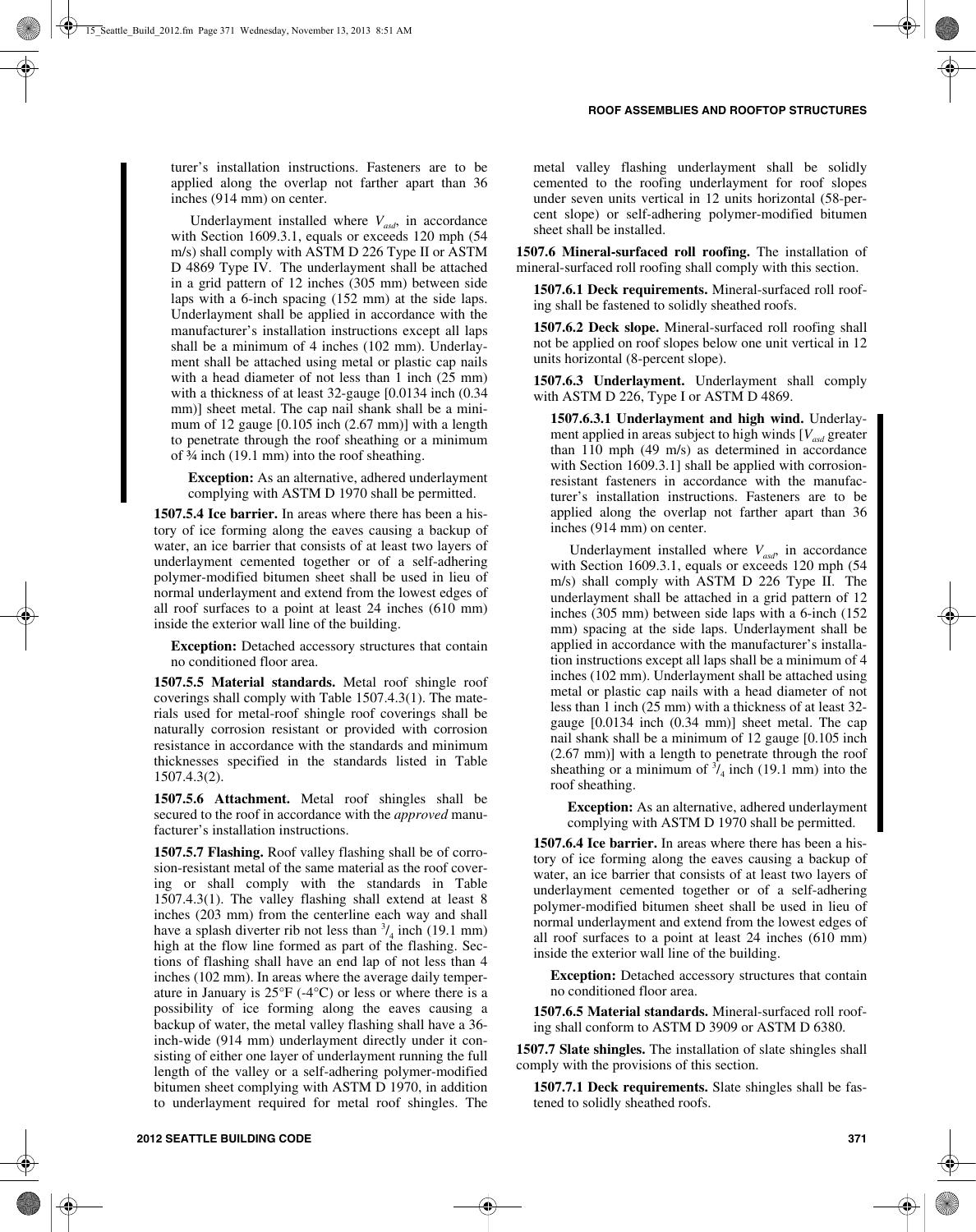turer's installation instructions. Fasteners are to be applied along the overlap not farther apart than 36 inches (914 mm) on center.

Underlayment installed where  $V_{\text{asd}}$ , in accordance with Section 1609.3.1, equals or exceeds 120 mph (54 m/s) shall comply with ASTM D 226 Type II or ASTM D 4869 Type IV. The underlayment shall be attached in a grid pattern of 12 inches (305 mm) between side laps with a 6-inch spacing (152 mm) at the side laps. Underlayment shall be applied in accordance with the manufacturer's installation instructions except all laps shall be a minimum of 4 inches (102 mm). Underlayment shall be attached using metal or plastic cap nails with a head diameter of not less than 1 inch (25 mm) with a thickness of at least 32-gauge [0.0134 inch (0.34 mm)] sheet metal. The cap nail shank shall be a minimum of 12 gauge [0.105 inch (2.67 mm)] with a length to penetrate through the roof sheathing or a minimum of ¾ inch (19.1 mm) into the roof sheathing.

**Exception:** As an alternative, adhered underlayment complying with ASTM D 1970 shall be permitted.

**1507.5.4 Ice barrier.** In areas where there has been a history of ice forming along the eaves causing a backup of water, an ice barrier that consists of at least two layers of underlayment cemented together or of a self-adhering polymer-modified bitumen sheet shall be used in lieu of normal underlayment and extend from the lowest edges of all roof surfaces to a point at least 24 inches (610 mm) inside the exterior wall line of the building.

**Exception:** Detached accessory structures that contain no conditioned floor area.

**1507.5.5 Material standards.** Metal roof shingle roof coverings shall comply with Table 1507.4.3(1). The materials used for metal-roof shingle roof coverings shall be naturally corrosion resistant or provided with corrosion resistance in accordance with the standards and minimum thicknesses specified in the standards listed in Table 1507.4.3(2).

**1507.5.6 Attachment.** Metal roof shingles shall be secured to the roof in accordance with the *approved* manufacturer's installation instructions.

**1507.5.7 Flashing.** Roof valley flashing shall be of corrosion-resistant metal of the same material as the roof covering or shall comply with the standards in Table 1507.4.3(1). The valley flashing shall extend at least 8 inches (203 mm) from the centerline each way and shall have a splash diverter rib not less than  $\frac{3}{4}$  inch (19.1 mm) high at the flow line formed as part of the flashing. Sections of flashing shall have an end lap of not less than 4 inches (102 mm). In areas where the average daily temperature in January is 25°F (-4°C) or less or where there is a possibility of ice forming along the eaves causing a backup of water, the metal valley flashing shall have a 36 inch-wide (914 mm) underlayment directly under it consisting of either one layer of underlayment running the full length of the valley or a self-adhering polymer-modified bitumen sheet complying with ASTM D 1970, in addition to underlayment required for metal roof shingles. The metal valley flashing underlayment shall be solidly cemented to the roofing underlayment for roof slopes under seven units vertical in 12 units horizontal (58-percent slope) or self-adhering polymer-modified bitumen sheet shall be installed.

**1507.6 Mineral-surfaced roll roofing.** The installation of mineral-surfaced roll roofing shall comply with this section.

**1507.6.1 Deck requirements.** Mineral-surfaced roll roofing shall be fastened to solidly sheathed roofs.

**1507.6.2 Deck slope.** Mineral-surfaced roll roofing shall not be applied on roof slopes below one unit vertical in 12 units horizontal (8-percent slope).

**1507.6.3 Underlayment.** Underlayment shall comply with ASTM D 226, Type I or ASTM D 4869.

**1507.6.3.1 Underlayment and high wind.** Underlayment applied in areas subject to high winds [*Vasd* greater than 110 mph (49 m/s) as determined in accordance with Section 1609.3.1] shall be applied with corrosionresistant fasteners in accordance with the manufacturer's installation instructions. Fasteners are to be applied along the overlap not farther apart than 36 inches (914 mm) on center.

Underlayment installed where  $V_{\text{asd}}$ , in accordance with Section 1609.3.1, equals or exceeds 120 mph (54 m/s) shall comply with ASTM D 226 Type II. The underlayment shall be attached in a grid pattern of 12 inches (305 mm) between side laps with a 6-inch (152 mm) spacing at the side laps. Underlayment shall be applied in accordance with the manufacturer's installation instructions except all laps shall be a minimum of 4 inches (102 mm). Underlayment shall be attached using metal or plastic cap nails with a head diameter of not less than 1 inch (25 mm) with a thickness of at least 32 gauge [0.0134 inch (0.34 mm)] sheet metal. The cap nail shank shall be a minimum of 12 gauge [0.105 inch (2.67 mm)] with a length to penetrate through the roof sheathing or a minimum of  $\frac{3}{4}$  inch (19.1 mm) into the roof sheathing.

**Exception:** As an alternative, adhered underlayment complying with ASTM D 1970 shall be permitted.

**1507.6.4 Ice barrier.** In areas where there has been a history of ice forming along the eaves causing a backup of water, an ice barrier that consists of at least two layers of underlayment cemented together or of a self-adhering polymer-modified bitumen sheet shall be used in lieu of normal underlayment and extend from the lowest edges of all roof surfaces to a point at least 24 inches (610 mm) inside the exterior wall line of the building.

**Exception:** Detached accessory structures that contain no conditioned floor area.

**1507.6.5 Material standards.** Mineral-surfaced roll roofing shall conform to ASTM D 3909 or ASTM D 6380.

**1507.7 Slate shingles.** The installation of slate shingles shall comply with the provisions of this section.

**1507.7.1 Deck requirements.** Slate shingles shall be fastened to solidly sheathed roofs.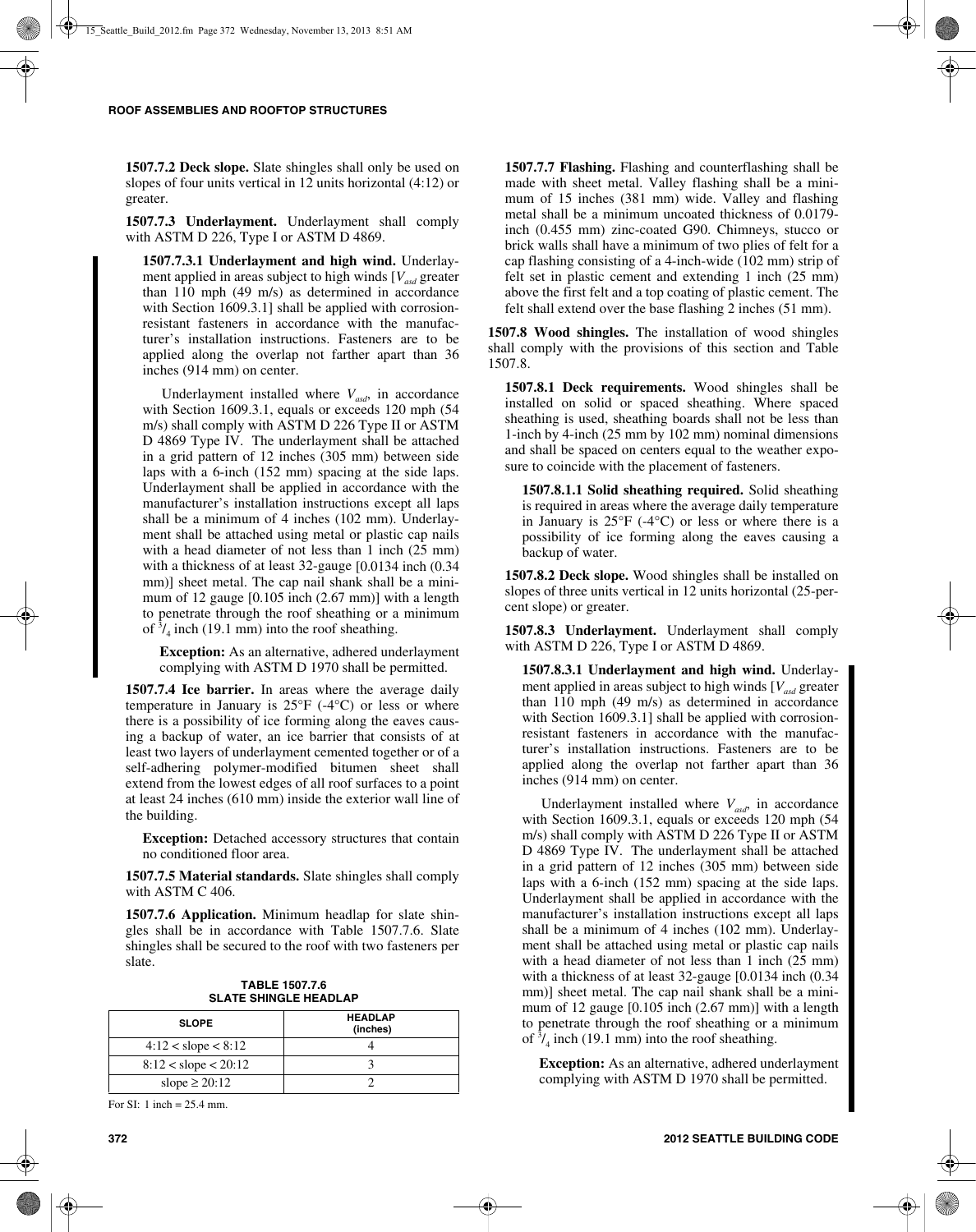**1507.7.2 Deck slope.** Slate shingles shall only be used on slopes of four units vertical in 12 units horizontal (4:12) or greater.

**1507.7.3 Underlayment.** Underlayment shall comply with ASTM D 226, Type I or ASTM D 4869.

**1507.7.3.1 Underlayment and high wind.** Underlayment applied in areas subject to high winds  $[V_{ad}]$  greater than 110 mph (49 m/s) as determined in accordance with Section 1609.3.1] shall be applied with corrosionresistant fasteners in accordance with the manufacturer's installation instructions. Fasteners are to be applied along the overlap not farther apart than 36 inches (914 mm) on center.

Underlayment installed where  $V_{\text{avd}}$ , in accordance with Section 1609.3.1, equals or exceeds 120 mph (54 m/s) shall comply with ASTM D 226 Type II or ASTM D 4869 Type IV. The underlayment shall be attached in a grid pattern of 12 inches (305 mm) between side laps with a 6-inch (152 mm) spacing at the side laps. Underlayment shall be applied in accordance with the manufacturer's installation instructions except all laps shall be a minimum of 4 inches (102 mm). Underlayment shall be attached using metal or plastic cap nails with a head diameter of not less than 1 inch (25 mm) with a thickness of at least 32-gauge [0.0134 inch (0.34 mm)] sheet metal. The cap nail shank shall be a minimum of 12 gauge [0.105 inch (2.67 mm)] with a length to penetrate through the roof sheathing or a minimum of  $\frac{3}{4}$  inch (19.1 mm) into the roof sheathing.

**Exception:** As an alternative, adhered underlayment complying with ASTM D 1970 shall be permitted.

**1507.7.4 Ice barrier.** In areas where the average daily temperature in January is  $25^{\circ}F$  (-4 $^{\circ}C$ ) or less or where there is a possibility of ice forming along the eaves causing a backup of water, an ice barrier that consists of at least two layers of underlayment cemented together or of a self-adhering polymer-modified bitumen sheet shall extend from the lowest edges of all roof surfaces to a point at least 24 inches (610 mm) inside the exterior wall line of the building.

**Exception:** Detached accessory structures that contain no conditioned floor area.

**1507.7.5 Material standards.** Slate shingles shall comply with ASTM C 406.

**1507.7.6 Application.** Minimum headlap for slate shingles shall be in accordance with Table 1507.7.6. Slate shingles shall be secured to the roof with two fasteners per slate.

| <b>TABLE 1507.7.6</b> |
|-----------------------|
| SLATE SHINGLE HEADLAP |

| <b>SLOPE</b>             | <b>HEADLAP</b><br>(inches) |
|--------------------------|----------------------------|
| $4:12 <$ slope $< 8:12$  |                            |
| $8:12 <$ slope $< 20:12$ |                            |
| slope $\geq 20:12$       |                            |

For SI: 1 inch = 25.4 mm.

**1507.7.7 Flashing.** Flashing and counterflashing shall be made with sheet metal. Valley flashing shall be a minimum of 15 inches (381 mm) wide. Valley and flashing metal shall be a minimum uncoated thickness of 0.0179 inch (0.455 mm) zinc-coated G90. Chimneys, stucco or brick walls shall have a minimum of two plies of felt for a cap flashing consisting of a 4-inch-wide (102 mm) strip of felt set in plastic cement and extending 1 inch (25 mm) above the first felt and a top coating of plastic cement. The felt shall extend over the base flashing 2 inches (51 mm).

**1507.8 Wood shingles.** The installation of wood shingles shall comply with the provisions of this section and Table 1507.8.

**1507.8.1 Deck requirements.** Wood shingles shall be installed on solid or spaced sheathing. Where spaced sheathing is used, sheathing boards shall not be less than 1-inch by 4-inch (25 mm by 102 mm) nominal dimensions and shall be spaced on centers equal to the weather exposure to coincide with the placement of fasteners.

**1507.8.1.1 Solid sheathing required.** Solid sheathing is required in areas where the average daily temperature in January is  $25^{\circ}F$  (-4 $^{\circ}C$ ) or less or where there is a possibility of ice forming along the eaves causing a backup of water.

**1507.8.2 Deck slope.** Wood shingles shall be installed on slopes of three units vertical in 12 units horizontal (25-percent slope) or greater.

**1507.8.3 Underlayment.** Underlayment shall comply with ASTM D 226, Type I or ASTM D 4869.

**1507.8.3.1 Underlayment and high wind.** Underlayment applied in areas subject to high winds [*Vasd* greater than 110 mph (49 m/s) as determined in accordance with Section 1609.3.1] shall be applied with corrosionresistant fasteners in accordance with the manufacturer's installation instructions. Fasteners are to be applied along the overlap not farther apart than 36 inches (914 mm) on center.

Underlayment installed where  $V_{\text{asd}}$ , in accordance with Section 1609.3.1, equals or exceeds 120 mph (54 m/s) shall comply with ASTM D 226 Type II or ASTM D 4869 Type IV. The underlayment shall be attached in a grid pattern of 12 inches (305 mm) between side laps with a 6-inch (152 mm) spacing at the side laps. Underlayment shall be applied in accordance with the manufacturer's installation instructions except all laps shall be a minimum of 4 inches (102 mm). Underlayment shall be attached using metal or plastic cap nails with a head diameter of not less than 1 inch  $(25 \text{ mm})$ with a thickness of at least 32-gauge [0.0134 inch (0.34 mm)] sheet metal. The cap nail shank shall be a minimum of 12 gauge [0.105 inch (2.67 mm)] with a length to penetrate through the roof sheathing or a minimum of  $\frac{3}{4}$  inch (19.1 mm) into the roof sheathing.

**Exception:** As an alternative, adhered underlayment complying with ASTM D 1970 shall be permitted.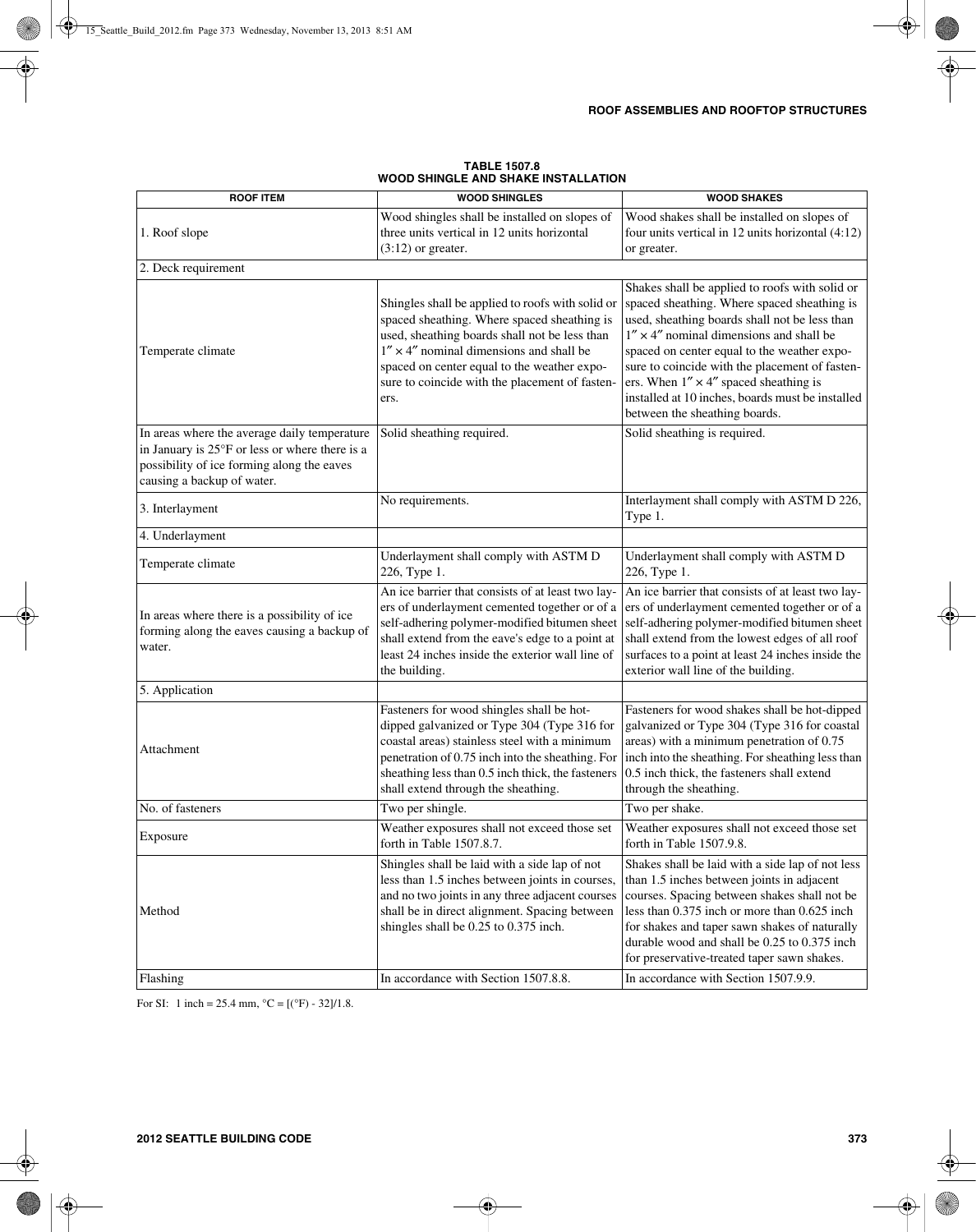|                                                                                                                                                                            | ורחווט שווה שבא                                                                                                                                                                                                                                                                                               |                                                                                                                                                                                                                                                                                                                                                                                                                                            |
|----------------------------------------------------------------------------------------------------------------------------------------------------------------------------|---------------------------------------------------------------------------------------------------------------------------------------------------------------------------------------------------------------------------------------------------------------------------------------------------------------|--------------------------------------------------------------------------------------------------------------------------------------------------------------------------------------------------------------------------------------------------------------------------------------------------------------------------------------------------------------------------------------------------------------------------------------------|
| <b>ROOF ITEM</b>                                                                                                                                                           | <b>WOOD SHINGLES</b>                                                                                                                                                                                                                                                                                          | <b>WOOD SHAKES</b>                                                                                                                                                                                                                                                                                                                                                                                                                         |
| 1. Roof slope                                                                                                                                                              | Wood shingles shall be installed on slopes of<br>three units vertical in 12 units horizontal<br>$(3:12)$ or greater.                                                                                                                                                                                          | Wood shakes shall be installed on slopes of<br>four units vertical in 12 units horizontal $(4:12)$<br>or greater.                                                                                                                                                                                                                                                                                                                          |
| 2. Deck requirement                                                                                                                                                        |                                                                                                                                                                                                                                                                                                               |                                                                                                                                                                                                                                                                                                                                                                                                                                            |
| Temperate climate                                                                                                                                                          | Shingles shall be applied to roofs with solid or<br>spaced sheathing. Where spaced sheathing is<br>used, sheathing boards shall not be less than<br>$1'' \times 4''$ nominal dimensions and shall be<br>spaced on center equal to the weather expo-<br>sure to coincide with the placement of fasten-<br>ers. | Shakes shall be applied to roofs with solid or<br>spaced sheathing. Where spaced sheathing is<br>used, sheathing boards shall not be less than<br>$1'' \times 4''$ nominal dimensions and shall be<br>spaced on center equal to the weather expo-<br>sure to coincide with the placement of fasten-<br>ers. When $1'' \times 4''$ spaced sheathing is<br>installed at 10 inches, boards must be installed<br>between the sheathing boards. |
| In areas where the average daily temperature<br>in January is 25°F or less or where there is a<br>possibility of ice forming along the eaves<br>causing a backup of water. | Solid sheathing required.                                                                                                                                                                                                                                                                                     | Solid sheathing is required.                                                                                                                                                                                                                                                                                                                                                                                                               |
| 3. Interlayment                                                                                                                                                            | No requirements.                                                                                                                                                                                                                                                                                              | Interlayment shall comply with ASTM D 226,<br>Type 1.                                                                                                                                                                                                                                                                                                                                                                                      |
| 4. Underlayment                                                                                                                                                            |                                                                                                                                                                                                                                                                                                               |                                                                                                                                                                                                                                                                                                                                                                                                                                            |
| Temperate climate                                                                                                                                                          | Underlayment shall comply with ASTM D<br>226, Type 1.                                                                                                                                                                                                                                                         | Underlayment shall comply with ASTM D<br>226, Type 1.                                                                                                                                                                                                                                                                                                                                                                                      |
| In areas where there is a possibility of ice<br>forming along the eaves causing a backup of<br>water.                                                                      | An ice barrier that consists of at least two lay-<br>ers of underlayment cemented together or of a<br>self-adhering polymer-modified bitumen sheet<br>shall extend from the eave's edge to a point at<br>least 24 inches inside the exterior wall line of<br>the building.                                    | An ice barrier that consists of at least two lay-<br>ers of underlayment cemented together or of a<br>self-adhering polymer-modified bitumen sheet<br>shall extend from the lowest edges of all roof<br>surfaces to a point at least 24 inches inside the<br>exterior wall line of the building.                                                                                                                                           |
| 5. Application                                                                                                                                                             |                                                                                                                                                                                                                                                                                                               |                                                                                                                                                                                                                                                                                                                                                                                                                                            |
| Attachment                                                                                                                                                                 | Fasteners for wood shingles shall be hot-<br>dipped galvanized or Type 304 (Type 316 for<br>coastal areas) stainless steel with a minimum<br>penetration of 0.75 inch into the sheathing. For<br>sheathing less than 0.5 inch thick, the fasteners<br>shall extend through the sheathing.                     | Fasteners for wood shakes shall be hot-dipped<br>galvanized or Type 304 (Type 316 for coastal<br>areas) with a minimum penetration of 0.75<br>inch into the sheathing. For sheathing less than<br>0.5 inch thick, the fasteners shall extend<br>through the sheathing.                                                                                                                                                                     |
| No. of fasteners                                                                                                                                                           | Two per shingle.                                                                                                                                                                                                                                                                                              | Two per shake.                                                                                                                                                                                                                                                                                                                                                                                                                             |
| Exposure                                                                                                                                                                   | Weather exposures shall not exceed those set<br>forth in Table 1507.8.7.                                                                                                                                                                                                                                      | Weather exposures shall not exceed those set<br>forth in Table 1507.9.8.                                                                                                                                                                                                                                                                                                                                                                   |
| Method<br>Flashing                                                                                                                                                         | Shingles shall be laid with a side lap of not<br>less than 1.5 inches between joints in courses,<br>and no two joints in any three adjacent courses<br>shall be in direct alignment. Spacing between<br>shingles shall be 0.25 to 0.375 inch.<br>In accordance with Section 1507.8.8.                         | Shakes shall be laid with a side lap of not less<br>than 1.5 inches between joints in adjacent<br>courses. Spacing between shakes shall not be<br>less than 0.375 inch or more than 0.625 inch<br>for shakes and taper sawn shakes of naturally<br>durable wood and shall be 0.25 to 0.375 inch<br>for preservative-treated taper sawn shakes.<br>In accordance with Section 1507.9.9.                                                     |
|                                                                                                                                                                            |                                                                                                                                                                                                                                                                                                               |                                                                                                                                                                                                                                                                                                                                                                                                                                            |

#### **TABLE 1507.8 WOOD SHINGLE AND SHAKE INSTALLATION**

For SI: 1 inch = 25.4 mm,  $^{\circ}C = [(^{\circ}F) - 32]/1.8$ .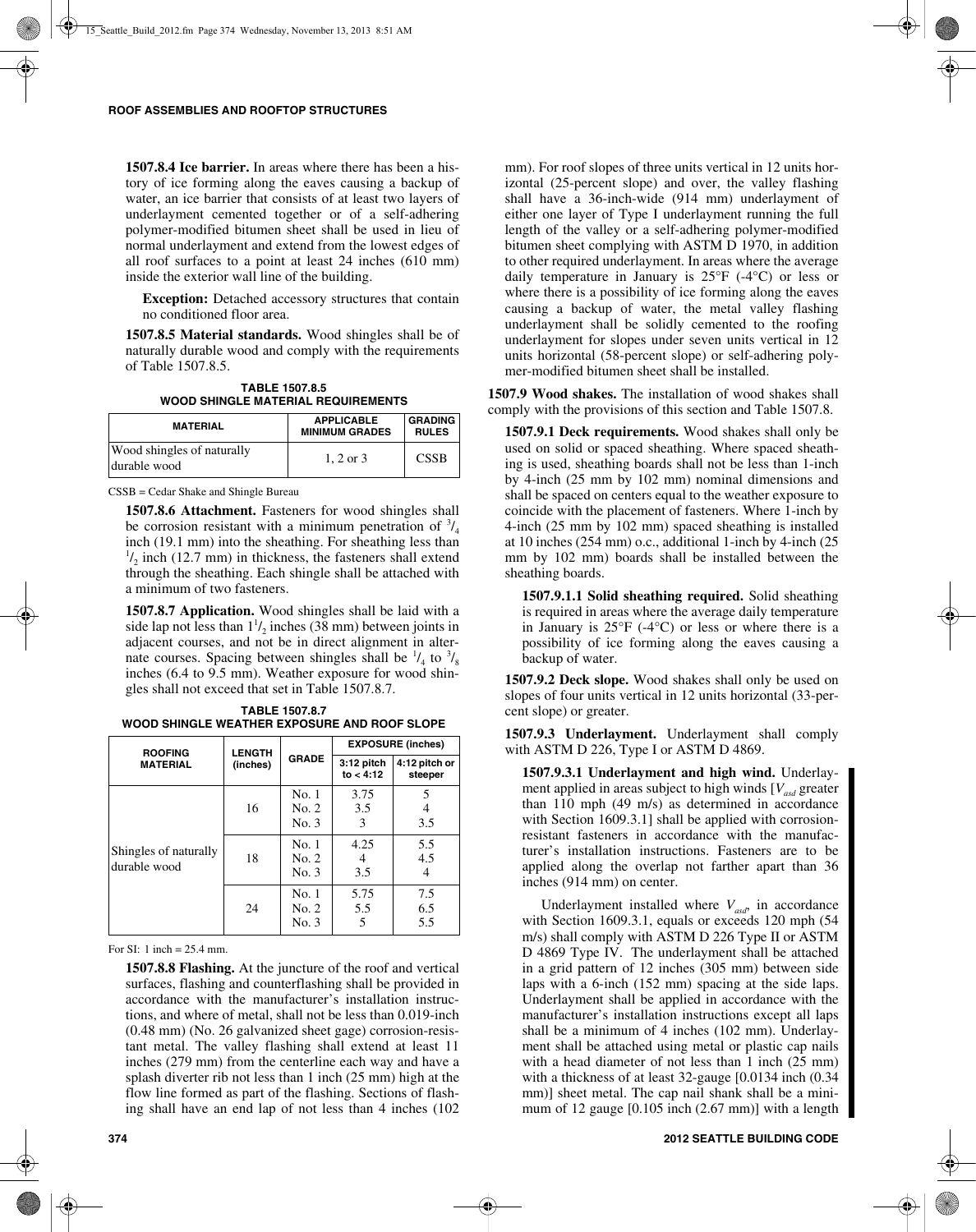**1507.8.4 Ice barrier.** In areas where there has been a history of ice forming along the eaves causing a backup of water, an ice barrier that consists of at least two layers of underlayment cemented together or of a self-adhering polymer-modified bitumen sheet shall be used in lieu of normal underlayment and extend from the lowest edges of all roof surfaces to a point at least 24 inches (610 mm) inside the exterior wall line of the building.

**Exception:** Detached accessory structures that contain no conditioned floor area.

**1507.8.5 Material standards.** Wood shingles shall be of naturally durable wood and comply with the requirements of Table 1507.8.5.

**TABLE 1507.8.5 WOOD SHINGLE MATERIAL REQUIREMENTS**

| <b>MATERIAL</b>                            | <b>APPLICABLE</b><br><b>MINIMUM GRADES</b> | <b>GRADING</b><br><b>RULES</b> |
|--------------------------------------------|--------------------------------------------|--------------------------------|
| Wood shingles of naturally<br>durable wood | $1, 2$ or $3$                              | <b>CSSB</b>                    |

CSSB = Cedar Shake and Shingle Bureau

**1507.8.6 Attachment.** Fasteners for wood shingles shall be corrosion resistant with a minimum penetration of  $\frac{3}{4}$ inch (19.1 mm) into the sheathing. For sheathing less than  $\frac{1}{2}$  inch (12.7 mm) in thickness, the fasteners shall extend through the sheathing. Each shingle shall be attached with a minimum of two fasteners.

**1507.8.7 Application.** Wood shingles shall be laid with a side lap not less than  $1<sup>1</sup> / 2$  inches (38 mm) between joints in adjacent courses, and not be in direct alignment in alternate courses. Spacing between shingles shall be  $\frac{1}{4}$  to  $\frac{3}{8}$ inches (6.4 to 9.5 mm). Weather exposure for wood shingles shall not exceed that set in Table 1507.8.7.

| <b>TABLE 1507.8.7</b>                        |  |  |
|----------------------------------------------|--|--|
| WOOD SHINGLE WEATHER EXPOSURE AND ROOF SLOPE |  |  |

| <b>ROOFING</b>                        | <b>LENGTH</b> |                             | <b>EXPOSURE (inches)</b> |                   |
|---------------------------------------|---------------|-----------------------------|--------------------------|-------------------|
| <b>MATERIAL</b><br>(inches)           | <b>GRADE</b>  | $3:12$ pitch<br>to $< 4:12$ | 4:12 pitch or<br>steeper |                   |
|                                       | 16            | No. 1<br>No. 2<br>No. 3     | 3.75<br>3.5<br>3         | 5<br>3.5          |
| Shingles of naturally<br>durable wood | 18            | No. 1<br>No. 2<br>No. 3     | 4.25<br>4<br>3.5         | 5.5<br>4.5        |
|                                       | 24            | No. 1<br>No. 2<br>No. 3     | 5.75<br>5.5<br>5         | 7.5<br>6.5<br>5.5 |

For SI: 1 inch = 25.4 mm.

**1507.8.8 Flashing.** At the juncture of the roof and vertical surfaces, flashing and counterflashing shall be provided in accordance with the manufacturer's installation instructions, and where of metal, shall not be less than 0.019-inch (0.48 mm) (No. 26 galvanized sheet gage) corrosion-resistant metal. The valley flashing shall extend at least 11 inches (279 mm) from the centerline each way and have a splash diverter rib not less than 1 inch (25 mm) high at the flow line formed as part of the flashing. Sections of flashing shall have an end lap of not less than 4 inches (102

mm). For roof slopes of three units vertical in 12 units horizontal (25-percent slope) and over, the valley flashing shall have a 36-inch-wide (914 mm) underlayment of either one layer of Type I underlayment running the full length of the valley or a self-adhering polymer-modified bitumen sheet complying with ASTM D 1970, in addition to other required underlayment. In areas where the average daily temperature in January is  $25^{\circ}F$  (-4 $^{\circ}C$ ) or less or where there is a possibility of ice forming along the eaves causing a backup of water, the metal valley flashing underlayment shall be solidly cemented to the roofing underlayment for slopes under seven units vertical in 12 units horizontal (58-percent slope) or self-adhering polymer-modified bitumen sheet shall be installed.

**1507.9 Wood shakes.** The installation of wood shakes shall comply with the provisions of this section and Table 1507.8.

**1507.9.1 Deck requirements.** Wood shakes shall only be used on solid or spaced sheathing. Where spaced sheathing is used, sheathing boards shall not be less than 1-inch by 4-inch (25 mm by 102 mm) nominal dimensions and shall be spaced on centers equal to the weather exposure to coincide with the placement of fasteners. Where 1-inch by 4-inch (25 mm by 102 mm) spaced sheathing is installed at 10 inches (254 mm) o.c., additional 1-inch by 4-inch (25 mm by 102 mm) boards shall be installed between the sheathing boards.

**1507.9.1.1 Solid sheathing required.** Solid sheathing is required in areas where the average daily temperature in January is  $25^{\circ}F$  (-4 $^{\circ}C$ ) or less or where there is a possibility of ice forming along the eaves causing a backup of water.

**1507.9.2 Deck slope.** Wood shakes shall only be used on slopes of four units vertical in 12 units horizontal (33-percent slope) or greater.

**1507.9.3 Underlayment.** Underlayment shall comply with ASTM D 226, Type I or ASTM D 4869.

**1507.9.3.1 Underlayment and high wind.** Underlayment applied in areas subject to high winds [V<sub>asd</sub> greater than 110 mph (49 m/s) as determined in accordance with Section 1609.3.1] shall be applied with corrosionresistant fasteners in accordance with the manufacturer's installation instructions. Fasteners are to be applied along the overlap not farther apart than 36 inches (914 mm) on center.

Underlayment installed where  $V_{\text{asd}}$ , in accordance with Section 1609.3.1, equals or exceeds 120 mph (54 m/s) shall comply with ASTM D 226 Type II or ASTM D 4869 Type IV. The underlayment shall be attached in a grid pattern of 12 inches (305 mm) between side laps with a 6-inch (152 mm) spacing at the side laps. Underlayment shall be applied in accordance with the manufacturer's installation instructions except all laps shall be a minimum of 4 inches (102 mm). Underlayment shall be attached using metal or plastic cap nails with a head diameter of not less than 1 inch (25 mm) with a thickness of at least 32-gauge [0.0134 inch (0.34 mm)] sheet metal. The cap nail shank shall be a minimum of 12 gauge [0.105 inch (2.67 mm)] with a length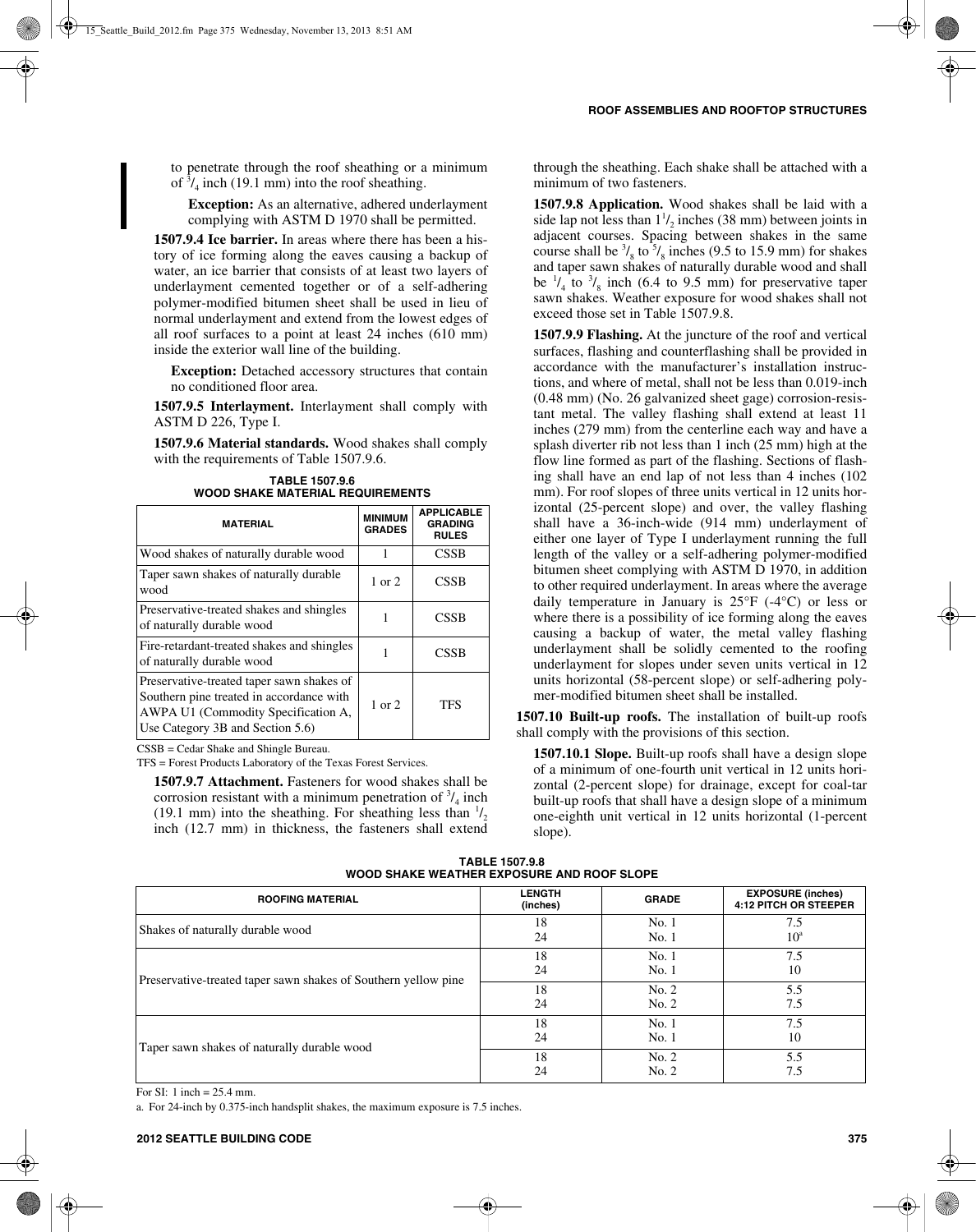to penetrate through the roof sheathing or a minimum of  $\frac{3}{4}$  inch (19.1 mm) into the roof sheathing.

**Exception:** As an alternative, adhered underlayment complying with ASTM D 1970 shall be permitted.

**1507.9.4 Ice barrier.** In areas where there has been a history of ice forming along the eaves causing a backup of water, an ice barrier that consists of at least two layers of underlayment cemented together or of a self-adhering polymer-modified bitumen sheet shall be used in lieu of normal underlayment and extend from the lowest edges of all roof surfaces to a point at least 24 inches (610 mm) inside the exterior wall line of the building.

**Exception:** Detached accessory structures that contain no conditioned floor area.

**1507.9.5 Interlayment.** Interlayment shall comply with ASTM D 226, Type I.

**1507.9.6 Material standards.** Wood shakes shall comply with the requirements of Table 1507.9.6.

**TABLE 1507.9.6 WOOD SHAKE MATERIAL REQUIREMENTS**

| <b>MATERIAL</b>                                                                                                                                                  | <b>MINIMUM</b><br><b>GRADES</b> | <b>APPLICABLE</b><br><b>GRADING</b><br><b>RULES</b> |
|------------------------------------------------------------------------------------------------------------------------------------------------------------------|---------------------------------|-----------------------------------------------------|
| Wood shakes of naturally durable wood                                                                                                                            |                                 | <b>CSSB</b>                                         |
| Taper sawn shakes of naturally durable<br>wood                                                                                                                   | $1$ or $2$                      | <b>CSSB</b>                                         |
| Preservative-treated shakes and shingles<br>of naturally durable wood                                                                                            |                                 | CSSB                                                |
| Fire-retardant-treated shakes and shingles<br>of naturally durable wood                                                                                          |                                 | CSSB                                                |
| Preservative-treated taper sawn shakes of<br>Southern pine treated in accordance with<br>AWPA U1 (Commodity Specification A,<br>Use Category 3B and Section 5.6) | $1$ or $2$                      | TFS                                                 |

CSSB = Cedar Shake and Shingle Bureau.

TFS = Forest Products Laboratory of the Texas Forest Services.

**1507.9.7 Attachment.** Fasteners for wood shakes shall be corrosion resistant with a minimum penetration of  $\frac{3}{4}$  inch (19.1 mm) into the sheathing. For sheathing less than  $\frac{1}{2}$ inch (12.7 mm) in thickness, the fasteners shall extend through the sheathing. Each shake shall be attached with a minimum of two fasteners.

**1507.9.8 Application.** Wood shakes shall be laid with a side lap not less than  $1\frac{1}{2}$  inches (38 mm) between joints in adjacent courses. Spacing between shakes in the same course shall be  $\frac{3}{8}$  to  $\frac{5}{8}$  inches (9.5 to 15.9 mm) for shakes and taper sawn shakes of naturally durable wood and shall be  $\frac{1}{4}$  to  $\frac{3}{8}$  inch (6.4 to 9.5 mm) for preservative taper sawn shakes. Weather exposure for wood shakes shall not exceed those set in Table 1507.9.8.

**1507.9.9 Flashing.** At the juncture of the roof and vertical surfaces, flashing and counterflashing shall be provided in accordance with the manufacturer's installation instructions, and where of metal, shall not be less than 0.019-inch (0.48 mm) (No. 26 galvanized sheet gage) corrosion-resistant metal. The valley flashing shall extend at least 11 inches (279 mm) from the centerline each way and have a splash diverter rib not less than 1 inch (25 mm) high at the flow line formed as part of the flashing. Sections of flashing shall have an end lap of not less than 4 inches (102 mm). For roof slopes of three units vertical in 12 units horizontal (25-percent slope) and over, the valley flashing shall have a 36-inch-wide (914 mm) underlayment of either one layer of Type I underlayment running the full length of the valley or a self-adhering polymer-modified bitumen sheet complying with ASTM D 1970, in addition to other required underlayment. In areas where the average daily temperature in January is  $25^{\circ}F$  (-4 $^{\circ}C$ ) or less or where there is a possibility of ice forming along the eaves causing a backup of water, the metal valley flashing underlayment shall be solidly cemented to the roofing underlayment for slopes under seven units vertical in 12 units horizontal (58-percent slope) or self-adhering polymer-modified bitumen sheet shall be installed.

**1507.10 Built-up roofs.** The installation of built-up roofs shall comply with the provisions of this section.

**1507.10.1 Slope.** Built-up roofs shall have a design slope of a minimum of one-fourth unit vertical in 12 units horizontal (2-percent slope) for drainage, except for coal-tar built-up roofs that shall have a design slope of a minimum one-eighth unit vertical in 12 units horizontal (1-percent slope).

**TABLE 1507.9.8 WOOD SHAKE WEATHER EXPOSURE AND ROOF SLOPE**

| <b>ROOFING MATERIAL</b>                                        | <b>LENGTH</b><br>(inches) | <b>GRADE</b>   | <b>EXPOSURE (inches)</b><br><b>4:12 PITCH OR STEEPER</b> |
|----------------------------------------------------------------|---------------------------|----------------|----------------------------------------------------------|
| Shakes of naturally durable wood                               | 18<br>24                  | No.1<br>No.1   | 7.5<br>$10^a$                                            |
| Preservative-treated taper sawn shakes of Southern yellow pine | 18<br>24                  | No.1<br>No.1   | 7.5<br>10                                                |
|                                                                | 18<br>24                  | No. 2<br>No. 2 | 5.5<br>7.5                                               |
| Taper sawn shakes of naturally durable wood                    | 18<br>24                  | No.1<br>No. 1  | 7.5<br>10                                                |
|                                                                | 18<br>24                  | No. 2<br>No. 2 | 5.5<br>7.5                                               |

For SI: 1 inch = 25.4 mm.

a. For 24-inch by 0.375-inch handsplit shakes, the maximum exposure is 7.5 inches.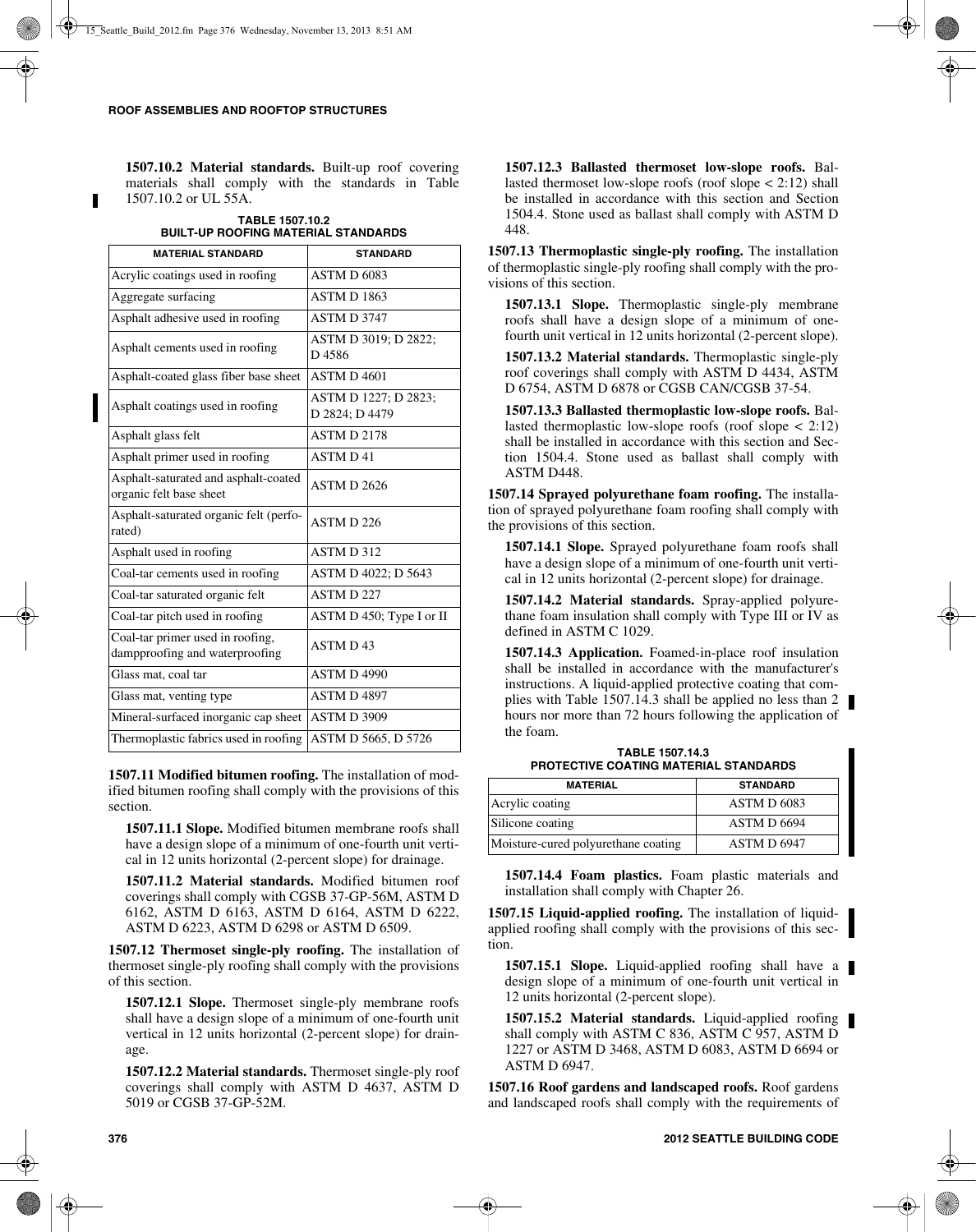**1507.10.2 Material standards.** Built-up roof covering materials shall comply with the standards in Table 1507.10.2 or UL 55A.

**TABLE 1507.10.2 BUILT-UP ROOFING MATERIAL STANDARDS**

| <b>MATERIAL STANDARD</b>                                           | <b>STANDARD</b>                        |
|--------------------------------------------------------------------|----------------------------------------|
| Acrylic coatings used in roofing                                   | <b>ASTM D 6083</b>                     |
| Aggregate surfacing                                                | <b>ASTM D 1863</b>                     |
| Asphalt adhesive used in roofing                                   | <b>ASTM D 3747</b>                     |
| Asphalt cements used in roofing                                    | ASTM D 3019; D 2822;<br>D4586          |
| Asphalt-coated glass fiber base sheet                              | <b>ASTM D 4601</b>                     |
| Asphalt coatings used in roofing                                   | ASTM D 1227; D 2823;<br>D 2824; D 4479 |
| Asphalt glass felt                                                 | ASTM D 2178                            |
| Asphalt primer used in roofing                                     | <b>ASTMD41</b>                         |
| Asphalt-saturated and asphalt-coated<br>organic felt base sheet    | <b>ASTM D 2626</b>                     |
| Asphalt-saturated organic felt (perfo-<br>rated)                   | ASTM D 226                             |
| Asphalt used in roofing                                            | ASTM D 312                             |
| Coal-tar cements used in roofing                                   | ASTM D 4022; D 5643                    |
| Coal-tar saturated organic felt                                    | <b>ASTMD227</b>                        |
| Coal-tar pitch used in roofing                                     | ASTM D 450; Type I or II               |
| Coal-tar primer used in roofing,<br>dampproofing and waterproofing | <b>ASTMD43</b>                         |
| Glass mat, coal tar                                                | ASTM D4990                             |
| Glass mat, venting type                                            | ASTM D4897                             |
| Mineral-surfaced inorganic cap sheet                               | ASTM D 3909                            |
| Thermoplastic fabrics used in roofing                              | ASTM D 5665, D 5726                    |

**1507.11 Modified bitumen roofing.** The installation of modified bitumen roofing shall comply with the provisions of this section.

**1507.11.1 Slope.** Modified bitumen membrane roofs shall have a design slope of a minimum of one-fourth unit vertical in 12 units horizontal (2-percent slope) for drainage.

**1507.11.2 Material standards.** Modified bitumen roof coverings shall comply with CGSB 37-GP-56M, ASTM D 6162, ASTM D 6163, ASTM D 6164, ASTM D 6222, ASTM D 6223, ASTM D 6298 or ASTM D 6509.

**1507.12 Thermoset single-ply roofing.** The installation of thermoset single-ply roofing shall comply with the provisions of this section.

**1507.12.1 Slope.** Thermoset single-ply membrane roofs shall have a design slope of a minimum of one-fourth unit vertical in 12 units horizontal (2-percent slope) for drainage.

**1507.12.2 Material standards.** Thermoset single-ply roof coverings shall comply with ASTM D 4637, ASTM D 5019 or CGSB 37-GP-52M.

**1507.12.3 Ballasted thermoset low-slope roofs.** Ballasted thermoset low-slope roofs (roof slope < 2:12) shall be installed in accordance with this section and Section 1504.4. Stone used as ballast shall comply with ASTM D 448.

**1507.13 Thermoplastic single-ply roofing.** The installation of thermoplastic single-ply roofing shall comply with the provisions of this section.

**1507.13.1 Slope.** Thermoplastic single-ply membrane roofs shall have a design slope of a minimum of onefourth unit vertical in 12 units horizontal (2-percent slope).

**1507.13.2 Material standards.** Thermoplastic single-ply roof coverings shall comply with ASTM D 4434, ASTM D 6754, ASTM D 6878 or CGSB CAN/CGSB 37-54.

**1507.13.3 Ballasted thermoplastic low-slope roofs.** Ballasted thermoplastic low-slope roofs (roof slope  $\lt$  2:12) shall be installed in accordance with this section and Section 1504.4. Stone used as ballast shall comply with ASTM D448.

**1507.14 Sprayed polyurethane foam roofing.** The installation of sprayed polyurethane foam roofing shall comply with the provisions of this section.

**1507.14.1 Slope.** Sprayed polyurethane foam roofs shall have a design slope of a minimum of one-fourth unit vertical in 12 units horizontal (2-percent slope) for drainage.

**1507.14.2 Material standards.** Spray-applied polyurethane foam insulation shall comply with Type III or IV as defined in ASTM C 1029.

**1507.14.3 Application.** Foamed-in-place roof insulation shall be installed in accordance with the manufacturer's instructions. A liquid-applied protective coating that complies with Table 1507.14.3 shall be applied no less than 2 hours nor more than 72 hours following the application of the foam.

**TABLE 1507.14.3 PROTECTIVE COATING MATERIAL STANDARDS**

| <b>MATERIAL</b>                     | <b>STANDARD</b>    |
|-------------------------------------|--------------------|
| Acrylic coating                     | ASTM D 6083        |
| Silicone coating                    | <b>ASTM D 6694</b> |
| Moisture-cured polyurethane coating | ASTM D 6947        |

**1507.14.4 Foam plastics.** Foam plastic materials and installation shall comply with Chapter 26.

**1507.15 Liquid-applied roofing.** The installation of liquidapplied roofing shall comply with the provisions of this section.

**1507.15.1 Slope.** Liquid-applied roofing shall have a design slope of a minimum of one-fourth unit vertical in 12 units horizontal (2-percent slope).

**1507.15.2 Material standards.** Liquid-applied roofing shall comply with ASTM C 836, ASTM C 957, ASTM D 1227 or ASTM D 3468, ASTM D 6083, ASTM D 6694 or ASTM D 6947.

**1507.16 Roof gardens and landscaped roofs.** Roof gardens and landscaped roofs shall comply with the requirements of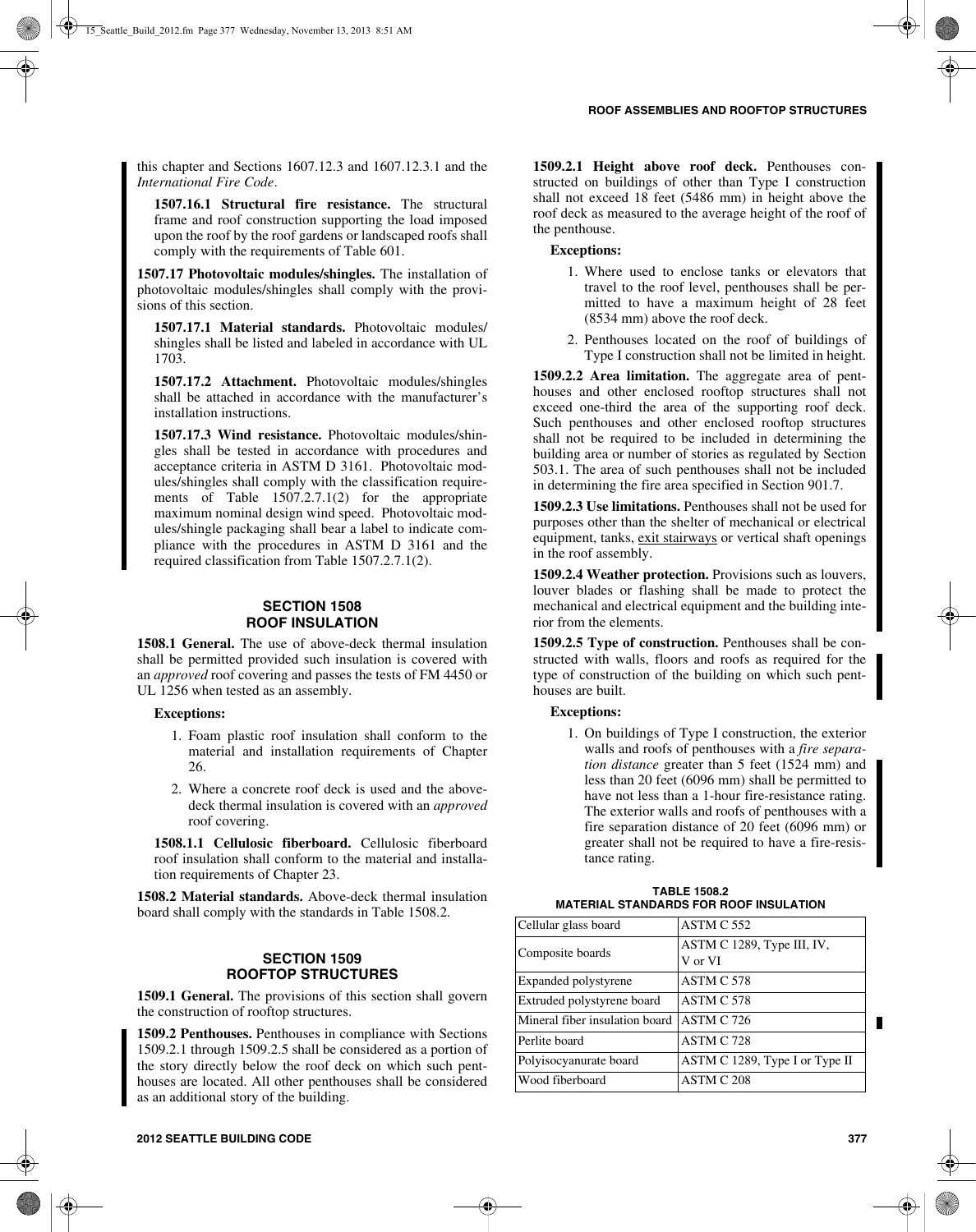this chapter and Sections 1607.12.3 and 1607.12.3.1 and the *International Fire Code*.

**1507.16.1 Structural fire resistance.** The structural frame and roof construction supporting the load imposed upon the roof by the roof gardens or landscaped roofs shall comply with the requirements of Table 601.

**1507.17 Photovoltaic modules/shingles.** The installation of photovoltaic modules/shingles shall comply with the provisions of this section.

**1507.17.1 Material standards.** Photovoltaic modules/ shingles shall be listed and labeled in accordance with UL 1703.

**1507.17.2 Attachment.** Photovoltaic modules/shingles shall be attached in accordance with the manufacturer's installation instructions.

**1507.17.3 Wind resistance.** Photovoltaic modules/shingles shall be tested in accordance with procedures and acceptance criteria in ASTM D 3161. Photovoltaic modules/shingles shall comply with the classification requirements of Table 1507.2.7.1(2) for the appropriate maximum nominal design wind speed. Photovoltaic modules/shingle packaging shall bear a label to indicate compliance with the procedures in ASTM D 3161 and the required classification from Table 1507.2.7.1(2).

## **SECTION 1508 ROOF INSULATION**

**1508.1 General.** The use of above-deck thermal insulation shall be permitted provided such insulation is covered with an *approved* roof covering and passes the tests of FM 4450 or UL 1256 when tested as an assembly.

#### **Exceptions:**

- 1. Foam plastic roof insulation shall conform to the material and installation requirements of Chapter 26.
- 2. Where a concrete roof deck is used and the abovedeck thermal insulation is covered with an *approved* roof covering.

**1508.1.1 Cellulosic fiberboard.** Cellulosic fiberboard roof insulation shall conform to the material and installation requirements of Chapter 23.

**1508.2 Material standards.** Above-deck thermal insulation board shall comply with the standards in Table 1508.2.

## **SECTION 1509 ROOFTOP STRUCTURES**

**1509.1 General.** The provisions of this section shall govern the construction of rooftop structures.

**1509.2 Penthouses.** Penthouses in compliance with Sections 1509.2.1 through 1509.2.5 shall be considered as a portion of the story directly below the roof deck on which such penthouses are located. All other penthouses shall be considered as an additional story of the building.

**1509.2.1 Height above roof deck.** Penthouses constructed on buildings of other than Type I construction shall not exceed 18 feet (5486 mm) in height above the roof deck as measured to the average height of the roof of the penthouse.

## **Exceptions:**

- 1. Where used to enclose tanks or elevators that travel to the roof level, penthouses shall be permitted to have a maximum height of 28 feet (8534 mm) above the roof deck.
- 2. Penthouses located on the roof of buildings of Type I construction shall not be limited in height.

**1509.2.2 Area limitation.** The aggregate area of penthouses and other enclosed rooftop structures shall not exceed one-third the area of the supporting roof deck. Such penthouses and other enclosed rooftop structures shall not be required to be included in determining the building area or number of stories as regulated by Section 503.1. The area of such penthouses shall not be included in determining the fire area specified in Section 901.7.

**1509.2.3 Use limitations.** Penthouses shall not be used for purposes other than the shelter of mechanical or electrical equipment, tanks, exit stairways or vertical shaft openings in the roof assembly.

**1509.2.4 Weather protection.** Provisions such as louvers, louver blades or flashing shall be made to protect the mechanical and electrical equipment and the building interior from the elements.

**1509.2.5 Type of construction.** Penthouses shall be constructed with walls, floors and roofs as required for the type of construction of the building on which such penthouses are built.

## **Exceptions:**

1. On buildings of Type I construction, the exterior walls and roofs of penthouses with a *fire separation distance* greater than 5 feet (1524 mm) and less than 20 feet (6096 mm) shall be permitted to have not less than a 1-hour fire-resistance rating. The exterior walls and roofs of penthouses with a fire separation distance of 20 feet (6096 mm) or greater shall not be required to have a fire-resistance rating.

| <b>TABLE 1508.2</b>                           |  |
|-----------------------------------------------|--|
| <b>MATERIAL STANDARDS FOR ROOF INSULATION</b> |  |

| Cellular glass board           | ASTM C 552                            |
|--------------------------------|---------------------------------------|
| Composite boards               | ASTM C 1289, Type III, IV,<br>V or VI |
| Expanded polystyrene           | ASTM C 578                            |
| Extruded polystyrene board     | ASTM C 578                            |
| Mineral fiber insulation board | ASTM C 726                            |
| Perlite board                  | ASTM C 728                            |
| Polyisocyanurate board         | ASTM C 1289, Type I or Type II        |
| Wood fiberboard                | ASTM C 208                            |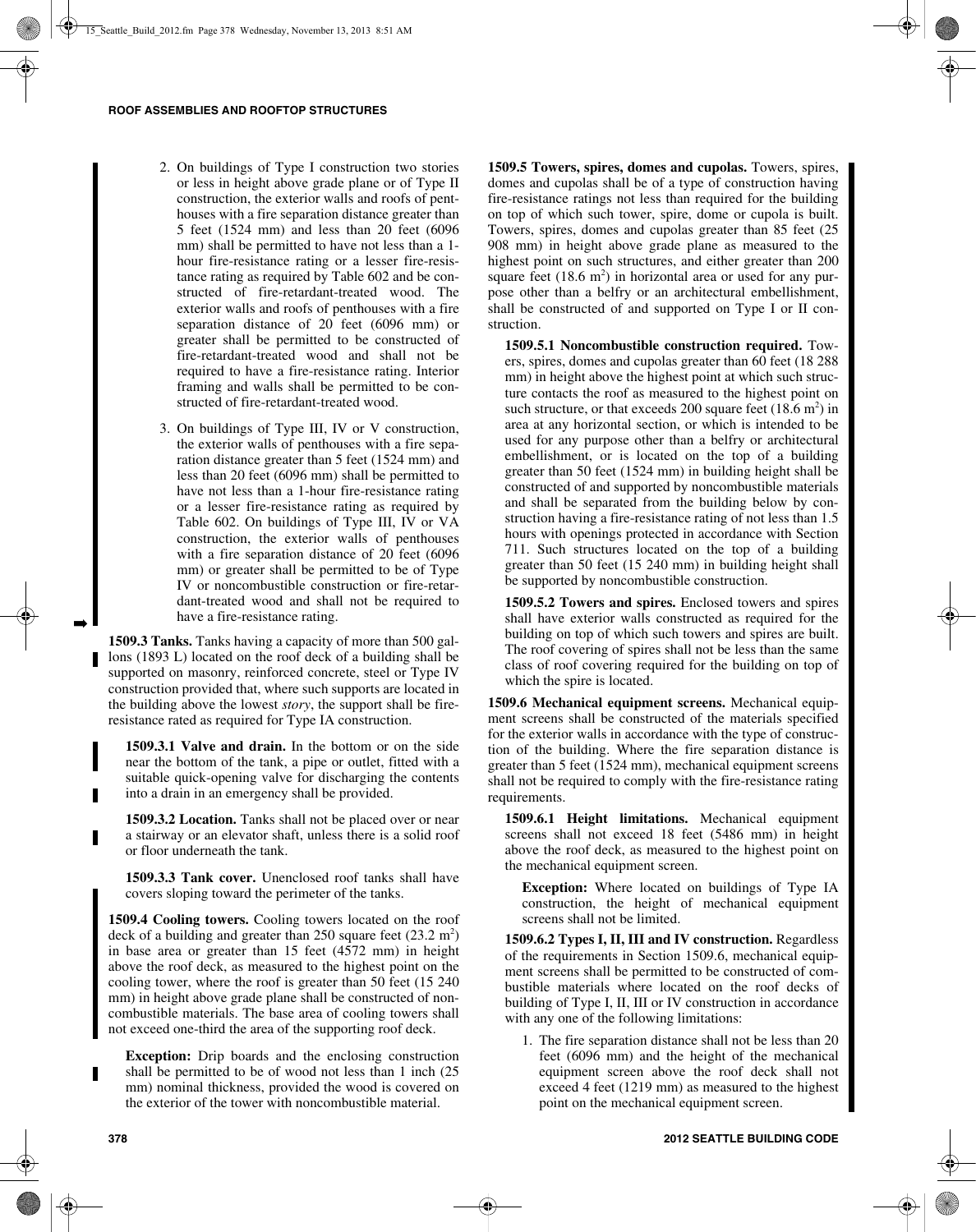- 2. On buildings of Type I construction two stories or less in height above grade plane or of Type II construction, the exterior walls and roofs of penthouses with a fire separation distance greater than 5 feet (1524 mm) and less than 20 feet (6096 mm) shall be permitted to have not less than a 1hour fire-resistance rating or a lesser fire-resistance rating as required by Table 602 and be constructed of fire-retardant-treated wood. The exterior walls and roofs of penthouses with a fire separation distance of 20 feet (6096 mm) or greater shall be permitted to be constructed of fire-retardant-treated wood and shall not be required to have a fire-resistance rating. Interior framing and walls shall be permitted to be constructed of fire-retardant-treated wood.
- 3. On buildings of Type III, IV or V construction, the exterior walls of penthouses with a fire separation distance greater than 5 feet (1524 mm) and less than 20 feet (6096 mm) shall be permitted to have not less than a 1-hour fire-resistance rating or a lesser fire-resistance rating as required by Table 602. On buildings of Type III, IV or VA construction, the exterior walls of penthouses with a fire separation distance of 20 feet (6096 mm) or greater shall be permitted to be of Type IV or noncombustible construction or fire-retardant-treated wood and shall not be required to have a fire-resistance rating.

**1509.3 Tanks.** Tanks having a capacity of more than 500 gallons (1893 L) located on the roof deck of a building shall be supported on masonry, reinforced concrete, steel or Type IV construction provided that, where such supports are located in the building above the lowest *story*, the support shall be fireresistance rated as required for Type IA construction.

**1509.3.1 Valve and drain.** In the bottom or on the side near the bottom of the tank, a pipe or outlet, fitted with a suitable quick-opening valve for discharging the contents into a drain in an emergency shall be provided.

**1509.3.2 Location.** Tanks shall not be placed over or near a stairway or an elevator shaft, unless there is a solid roof or floor underneath the tank.

**1509.3.3 Tank cover.** Unenclosed roof tanks shall have covers sloping toward the perimeter of the tanks.

**1509.4 Cooling towers.** Cooling towers located on the roof deck of a building and greater than 250 square feet  $(23.2 \text{ m}^2)$ in base area or greater than 15 feet (4572 mm) in height above the roof deck, as measured to the highest point on the cooling tower, where the roof is greater than 50 feet (15 240 mm) in height above grade plane shall be constructed of noncombustible materials. The base area of cooling towers shall not exceed one-third the area of the supporting roof deck.

**Exception:** Drip boards and the enclosing construction shall be permitted to be of wood not less than 1 inch (25 mm) nominal thickness, provided the wood is covered on the exterior of the tower with noncombustible material.

**1509.5 Towers, spires, domes and cupolas.** Towers, spires, domes and cupolas shall be of a type of construction having fire-resistance ratings not less than required for the building on top of which such tower, spire, dome or cupola is built. Towers, spires, domes and cupolas greater than 85 feet (25 908 mm) in height above grade plane as measured to the highest point on such structures, and either greater than 200 square feet  $(18.6 \text{ m}^2)$  in horizontal area or used for any purpose other than a belfry or an architectural embellishment, shall be constructed of and supported on Type I or II construction.

**1509.5.1 Noncombustible construction required.** Towers, spires, domes and cupolas greater than 60 feet (18 288 mm) in height above the highest point at which such structure contacts the roof as measured to the highest point on such structure, or that exceeds 200 square feet  $(18.6 \text{ m}^2)$  in area at any horizontal section, or which is intended to be used for any purpose other than a belfry or architectural embellishment, or is located on the top of a building greater than 50 feet (1524 mm) in building height shall be constructed of and supported by noncombustible materials and shall be separated from the building below by construction having a fire-resistance rating of not less than 1.5 hours with openings protected in accordance with Section 711. Such structures located on the top of a building greater than 50 feet (15 240 mm) in building height shall be supported by noncombustible construction.

**1509.5.2 Towers and spires.** Enclosed towers and spires shall have exterior walls constructed as required for the building on top of which such towers and spires are built. The roof covering of spires shall not be less than the same class of roof covering required for the building on top of which the spire is located.

**1509.6 Mechanical equipment screens.** Mechanical equipment screens shall be constructed of the materials specified for the exterior walls in accordance with the type of construction of the building. Where the fire separation distance is greater than 5 feet (1524 mm), mechanical equipment screens shall not be required to comply with the fire-resistance rating requirements.

**1509.6.1 Height limitations.** Mechanical equipment screens shall not exceed 18 feet (5486 mm) in height above the roof deck, as measured to the highest point on the mechanical equipment screen.

**Exception:** Where located on buildings of Type IA construction, the height of mechanical equipment screens shall not be limited.

**1509.6.2 Types I, II, III and IV construction.** Regardless of the requirements in Section 1509.6, mechanical equipment screens shall be permitted to be constructed of combustible materials where located on the roof decks of building of Type I, II, III or IV construction in accordance with any one of the following limitations:

1. The fire separation distance shall not be less than 20 feet (6096 mm) and the height of the mechanical equipment screen above the roof deck shall not exceed 4 feet (1219 mm) as measured to the highest point on the mechanical equipment screen.

➡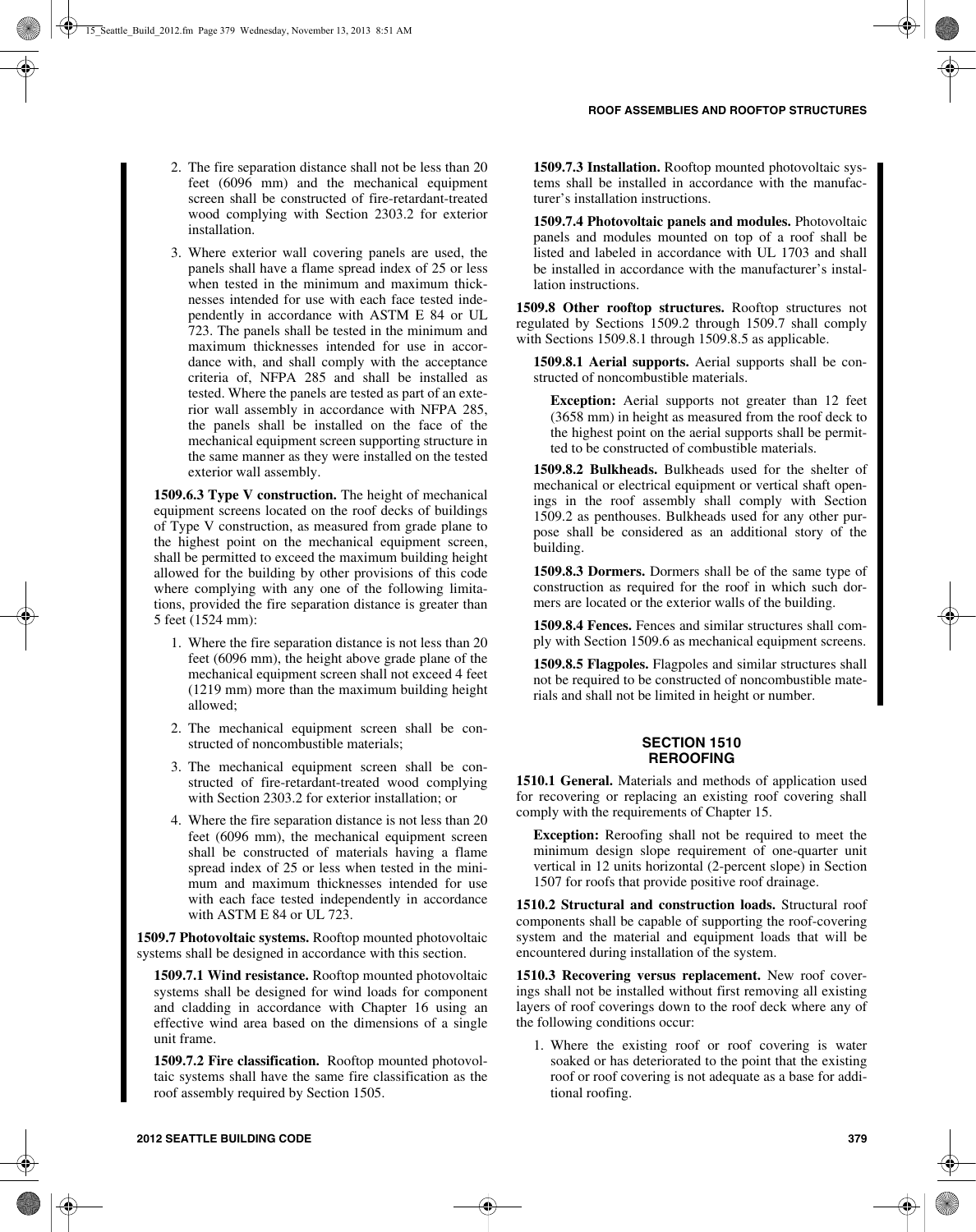- 2. The fire separation distance shall not be less than 20 feet (6096 mm) and the mechanical equipment screen shall be constructed of fire-retardant-treated wood complying with Section 2303.2 for exterior installation.
- 3. Where exterior wall covering panels are used, the panels shall have a flame spread index of 25 or less when tested in the minimum and maximum thicknesses intended for use with each face tested independently in accordance with ASTM E 84 or UL 723. The panels shall be tested in the minimum and maximum thicknesses intended for use in accordance with, and shall comply with the acceptance criteria of, NFPA 285 and shall be installed as tested. Where the panels are tested as part of an exterior wall assembly in accordance with NFPA 285, the panels shall be installed on the face of the mechanical equipment screen supporting structure in the same manner as they were installed on the tested exterior wall assembly.

**1509.6.3 Type V construction.** The height of mechanical equipment screens located on the roof decks of buildings of Type V construction, as measured from grade plane to the highest point on the mechanical equipment screen, shall be permitted to exceed the maximum building height allowed for the building by other provisions of this code where complying with any one of the following limitations, provided the fire separation distance is greater than 5 feet (1524 mm):

- 1. Where the fire separation distance is not less than 20 feet (6096 mm), the height above grade plane of the mechanical equipment screen shall not exceed 4 feet (1219 mm) more than the maximum building height allowed;
- 2. The mechanical equipment screen shall be constructed of noncombustible materials;
- 3. The mechanical equipment screen shall be constructed of fire-retardant-treated wood complying with Section 2303.2 for exterior installation; or
- 4. Where the fire separation distance is not less than 20 feet (6096 mm), the mechanical equipment screen shall be constructed of materials having a flame spread index of 25 or less when tested in the minimum and maximum thicknesses intended for use with each face tested independently in accordance with ASTM E 84 or UL 723.

**1509.7 Photovoltaic systems.** Rooftop mounted photovoltaic systems shall be designed in accordance with this section.

**1509.7.1 Wind resistance.** Rooftop mounted photovoltaic systems shall be designed for wind loads for component and cladding in accordance with Chapter 16 using an effective wind area based on the dimensions of a single unit frame.

**1509.7.2 Fire classification.** Rooftop mounted photovoltaic systems shall have the same fire classification as the roof assembly required by Section 1505.

**1509.7.3 Installation.** Rooftop mounted photovoltaic systems shall be installed in accordance with the manufacturer's installation instructions.

**1509.7.4 Photovoltaic panels and modules.** Photovoltaic panels and modules mounted on top of a roof shall be listed and labeled in accordance with UL 1703 and shall be installed in accordance with the manufacturer's installation instructions.

**1509.8 Other rooftop structures.** Rooftop structures not regulated by Sections 1509.2 through 1509.7 shall comply with Sections 1509.8.1 through 1509.8.5 as applicable.

**1509.8.1 Aerial supports.** Aerial supports shall be constructed of noncombustible materials.

**Exception:** Aerial supports not greater than 12 feet (3658 mm) in height as measured from the roof deck to the highest point on the aerial supports shall be permitted to be constructed of combustible materials.

**1509.8.2 Bulkheads.** Bulkheads used for the shelter of mechanical or electrical equipment or vertical shaft openings in the roof assembly shall comply with Section 1509.2 as penthouses. Bulkheads used for any other purpose shall be considered as an additional story of the building.

**1509.8.3 Dormers.** Dormers shall be of the same type of construction as required for the roof in which such dormers are located or the exterior walls of the building.

**1509.8.4 Fences.** Fences and similar structures shall comply with Section 1509.6 as mechanical equipment screens.

**1509.8.5 Flagpoles.** Flagpoles and similar structures shall not be required to be constructed of noncombustible materials and shall not be limited in height or number.

## **SECTION 1510 REROOFING**

**1510.1 General.** Materials and methods of application used for recovering or replacing an existing roof covering shall comply with the requirements of Chapter 15.

**Exception:** Reroofing shall not be required to meet the minimum design slope requirement of one-quarter unit vertical in 12 units horizontal (2-percent slope) in Section 1507 for roofs that provide positive roof drainage.

**1510.2 Structural and construction loads.** Structural roof components shall be capable of supporting the roof-covering system and the material and equipment loads that will be encountered during installation of the system.

**1510.3 Recovering versus replacement.** New roof coverings shall not be installed without first removing all existing layers of roof coverings down to the roof deck where any of the following conditions occur:

1. Where the existing roof or roof covering is water soaked or has deteriorated to the point that the existing roof or roof covering is not adequate as a base for additional roofing.